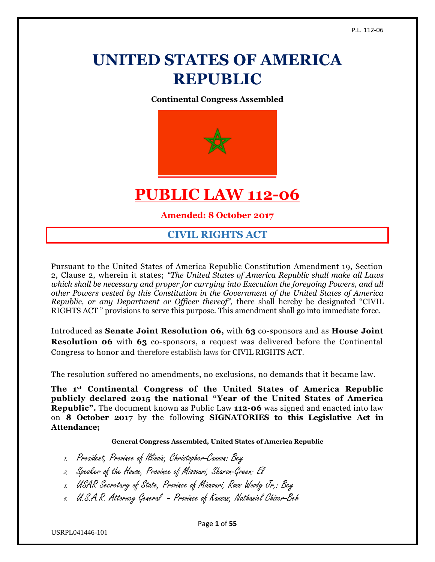# **UNITED STATES OF AMERICA REPUBLIC**

**Continental Congress Assembled**



# **PUBLIC LAW 112-06**

**Amended: 8 October 2017**

# **CIVIL RIGHTS ACT**

Pursuant to the United States of America Republic Constitution Amendment 19, Section 2, Clause 2, wherein it states; *"The United States of America Republic shall make all Laws which shall be necessary and proper for carrying into Execution the foregoing Powers, and all other Powers vested by this Constitution in the Government of the United States of America Republic, or any Department or Officer thereof",* there shall hereby be designated "CIVIL RIGHTS ACT " provisions to serve this purpose. This amendment shall go into immediate force.

Introduced as **Senate Joint Resolution 06,** with **63** co-sponsors and as **House Joint Resolution 06** with **63** co-sponsors, a request was delivered before the Continental Congress to honor and therefore establish laws for CIVIL RIGHTS ACT.

The resolution suffered no amendments, no exclusions, no demands that it became law.

**The 1st Continental Congress of the United States of America Republic publicly declared 2015 the national "Year of the United States of America Republic".** The document known as Public Law **112-06** was signed and enacted into law on **8 October 2017** by the following **SIGNATORIES to this Legislative Act in Attendance;**

**General Congress Assembled, United States of America Republic**

- 1. President, Province of Illinois, Christopher-Cannon: Bey
- 2. Speaker of the House, Province of Missouri, Sharon-Green: El
- 3. USAR Secretary of State, Province of Missouri, Ross Woody Jr,: Bey
- 4. U.S.A.R. Attorney General Province of Kansas, Nathaniel Chizer-Beh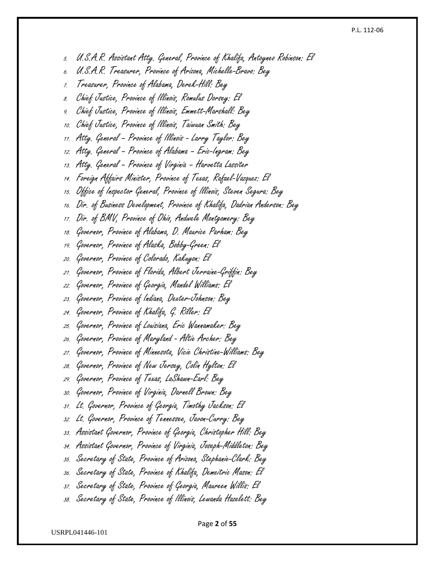#### P.L. 112-06

- 5. U.S.A.R. Assistant Atty. General, Province of Khalifa, Antoyneo Robinson: El
- 6. U.S.A.R. Treasurer, Province of Arizona, Michelle-Bravo: Bey
- 7. Treasurer, Province of Alabama, Derek-Hill: Bey
- 8. Chief Justice, Province of Illinois, Romulus Dorsey: El
- 9. Chief Justice, Province of Illinois, Emmett-Marshall: Bey
- 10. Chief Justice, Province of Illinois, Taiwuan Smith: Bey
- 11. Atty. General Province of Illinois Larry Taylor: Bey
- 12. Atty. General Province of Alabama Eric-Ingram: Bey
- 13. Atty. General Province of Virginia Harvetta Lassiter
- 14. Foreign Affairs Minister, Province of Texas, Rafael-Vazquez: El
- 15. Office of Inspector General, Province of Illinois, Steven Segura: Bey
- 16. Dir. of Business Development, Province of Khalifa, Dadrian Anderson: Bey
- 17. Dir. of BMV, Province of Ohio, Andwele Montgomery: Bey
- 18. Governor, Province of Alabama, D. Maurice Parham: Bey
- 19. Governor, Province of Alaska, Bobby-Green: El
- 20. Governor, Province of Colorado, Kakuyon: El
- 21. Governor, Province of Florida, Albert Jerraine-Griffin: Bey
- 22. Governor, Province of Georgia, Mandel Williams: El
- 23. Governor, Province of Indiana, Dexter-Johnson: Bey
- 24. Governor, Province of Khalifa, G. Riller: El
- 25. Governor, Province of Louisiana, Eric Wannamaker: Bey
- 26. Governor, Province of Maryland Altie Archer: Bey
- 27. Governor, Province of Minnesota, Vicie Christine-Williams: Bey
- 28. Governor, Province of New Jersey, Colin Hylton: El
- 29. Governor, Province of Texas, LaShawn-Earl: Bey
- 30. Governor, Province of Virginia, Darnell Brown: Bey
- 31. Lt. Governor, Province of Georgia, Timothy Jackson: El
- 32. Lt. Governor, Province of Tennessee, Javon-Curry: Bey
- 33. Assistant Governor, Province of Georgia, Christopher Hill: Bey
- 34. Assistant Governor, Province of Virginia, Joseph-Middleton: Bey
- 35. Secretary of State, Province of Arizona, Stephanie-Clark: Bey
- 36. Secretary of State, Province of Khalifa, Demeitric Mason: El
- 37. Secretary of State, Province of Georgia, Maureen Willis: El
- 38. Secretary of State, Province of Illinois, Lewanda Hazelett: Bey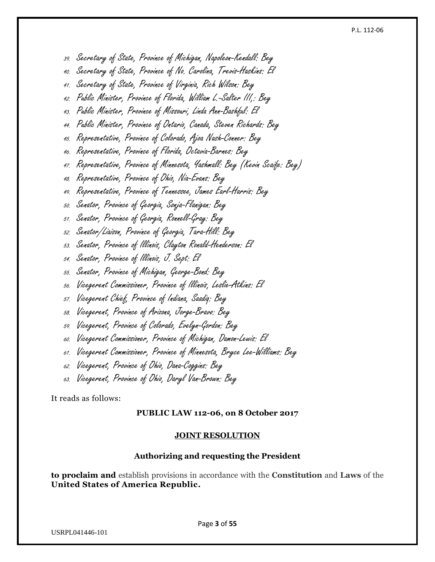#### P.L. 112-06

39. Secretary of State, Province of Michigan, Napoleon-Kendall: Bey

- 40. Secretary of State, Province of No. Carolina, Trevis-Haskins: El
- 41. Secretary of State, Province of Virginia, Rich Wilson: Bey
- 42. Public Minister, Province of Florida, William L.-Salter III,: Bey
- 43. Public Minister, Province of Missouri, Linda Ann-Bashful: El
- 44. Public Minister, Province of Ontario, Canada, Steven Richards: Bey
- 45. Representative, Province of Colorado, Ajoa Nash-Conner: Bey
- 46. Representative, Province of Florida, Octavia-Barnes: Bey
- 47. Representative, Province of Minnesota, Yashmall: Bey (Kevin Scaife: Bey)
- 48. Representative, Province of Ohio, Nia-Evans: Bey
- 49. Representative, Province of Tennessee, James Earl-Harris: Bey
- 50. Senator, Province of Georgia, Sonja-Flanigan: Bey
- 51. Senator, Province of Georgia, Ronnell-Gray: Bey
- 52. Senator/Liaison, Province of Georgia, Tara-Hill: Bey
- 53. Senator, Province of Illinois, Clayton Ronald-Henderson: El
- 54. Senator, Province of Illinois, J. Sept: El
- 55. Senator, Province of Michigan, George-Bond: Bey
- 56. Vicegerent Commissioner, Province of Illinois, Leslie-Atkins: El
- 57. Vicegerent Chief, Province of Indiana, Saadiq: Bey
- 58. Vicegerent, Province of Arizona, Jorge-Bravo: Bey
- 59. Vicegerent, Province of Colorado, Evelyn-Gordon: Bey
- 60. Vicegerent Commissioner, Province of Michigan, Damon-Lewis: El
- 61. Vicegerent Commissioner, Province of Minnesota, Bryce Lee-Williams: Bey
- 62. Vicegerent, Province of Ohio, Dana-Coggins: Bey
- 63. Vicegerent, Province of Ohio, Daryl Van-Brown: Bey

It reads as follows:

#### **PUBLIC LAW 112-06, on 8 October 2017**

#### **JOINT RESOLUTION**

#### **Authorizing and requesting the President**

**to proclaim and** establish provisions in accordance with the **Constitution** and **Laws** of the **United States of America Republic.**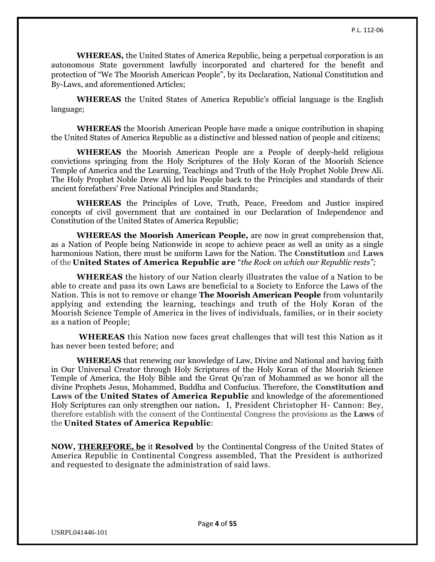**WHEREAS,** the United States of America Republic, being a perpetual corporation is an autonomous State government lawfully incorporated and chartered for the benefit and protection of "We The Moorish American People", by its Declaration, National Constitution and By-Laws, and aforementioned Articles;

**WHEREAS** the United States of America Republic's official language is the English language;

**WHEREAS** the Moorish American People have made a unique contribution in shaping the United States of America Republic as a distinctive and blessed nation of people and citizens;

**WHEREAS** the Moorish American People are a People of deeply-held religious convictions springing from the Holy Scriptures of the Holy Koran of the Moorish Science Temple of America and the Learning, Teachings and Truth of the Holy Prophet Noble Drew Ali. The Holy Prophet Noble Drew Ali led his People back to the Principles and standards of their ancient forefathers' Free National Principles and Standards;

**WHEREAS** the Principles of Love, Truth, Peace, Freedom and Justice inspired concepts of civil government that are contained in our Declaration of Independence and Constitution of the United States of America Republic;

**WHEREAS the Moorish American People,** are now in great comprehension that, as a Nation of People being Nationwide in scope to achieve peace as well as unity as a single harmonious Nation, there must be uniform Laws for the Nation. The **Constitution** and **Laws** of the **United States of America Republic are** "*the Rock on which our Republic rests";*

**WHEREAS** the history of our Nation clearly illustrates the value of a Nation to be able to create and pass its own Laws are beneficial to a Society to Enforce the Laws of the Nation. This is not to remove or change **The Moorish American People** from voluntarily applying and extending the learning, teachings and truth of the Holy Koran of the Moorish Science Temple of America in the lives of individuals, families, or in their society as a nation of People;

**WHEREAS** this Nation now faces great challenges that will test this Nation as it has never been tested before; and

**WHEREAS** that renewing our knowledge of Law, Divine and National and having faith in Our Universal Creator through Holy Scriptures of the Holy Koran of the Moorish Science Temple of America, the Holy Bible and the Great Qu'ran of Mohammed as we honor all the divine Prophets Jesus, Mohammed, Buddha and Confucius. Therefore, the **Constitution and Laws of the United States of America Republic** and knowledge of the aforementioned Holy Scriptures can only strengthen our nation**.** I, President Christopher H- Cannon: Bey, therefore establish with the consent of the Continental Congress the provisions as the **Laws** of the **United States of America Republic**:

**NOW, [THEREFORE, be](http://therefore.be/)** it **Resolved** by the Continental Congress of the United States of America Republic in Continental Congress assembled, That the President is authorized and requested to designate the administration of said laws.

Page **4** of **55**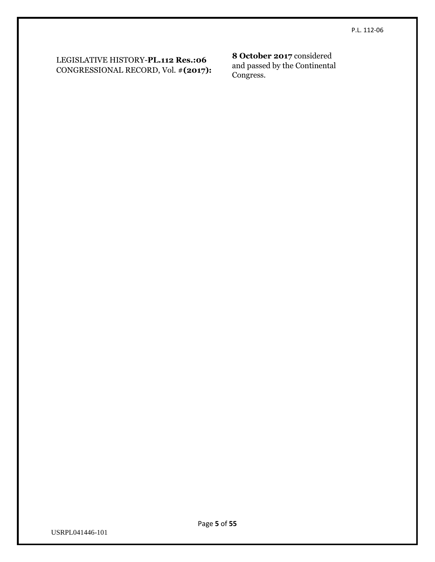## LEGISLATIVE HISTORY-**PL.112 Res.:06** CONGRESSIONAL RECORD, Vol. #**(2017):**

# **8 October 2017** considered

and passed by the Continental Congress.

Page **5** of **55**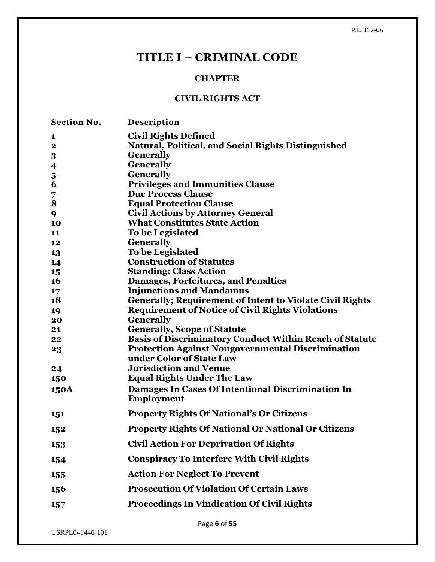# **TITLE I – CRIMINAL CODE**

# **CHAPTER**

# **CIVIL RIGHTS ACT**

| <b>Section No.</b>      | <b>Description</b>                                              |
|-------------------------|-----------------------------------------------------------------|
| 1                       | <b>Civil Rights Defined</b>                                     |
| $\mathbf 2$             | <b>Natural, Political, and Social Rights Distinguished</b>      |
| 3                       | <b>Generally</b>                                                |
| 4                       | <b>Generally</b>                                                |
| $\overline{\mathbf{5}}$ | <b>Generally</b>                                                |
| 6                       | <b>Privileges and Immunities Clause</b>                         |
| 7                       | <b>Due Process Clause</b>                                       |
| 8                       | <b>Equal Protection Clause</b>                                  |
| 9                       | <b>Civil Actions by Attorney General</b>                        |
| 10                      | <b>What Constitutes State Action</b>                            |
| 11                      | To be Legislated                                                |
| 12                      | <b>Generally</b>                                                |
| 13                      | To be Legislated                                                |
| 14                      | <b>Construction of Statutes</b>                                 |
| 15                      | <b>Standing; Class Action</b>                                   |
| 16                      | <b>Damages, Forfeitures, and Penalties</b>                      |
| 17                      | <b>Injunctions and Mandamus</b>                                 |
| 18                      | <b>Generally; Requirement of Intent to Violate Civil Rights</b> |
| 19                      | <b>Requirement of Notice of Civil Rights Violations</b>         |
| 20<br>21                | <b>Generally</b><br><b>Generally, Scope of Statute</b>          |
| 22                      | <b>Basis of Discriminatory Conduct Within Reach of Statute</b>  |
| 23                      | <b>Protection Against Nongovernmental Discrimination</b>        |
|                         | under Color of State Law                                        |
| 24                      | <b>Jurisdiction and Venue</b>                                   |
| 150                     | <b>Equal Rights Under The Law</b>                               |
| 150A                    | Damages In Cases Of Intentional Discrimination In               |
|                         | <b>Employment</b>                                               |
|                         |                                                                 |
| 151                     | <b>Property Rights Of National's Or Citizens</b>                |
| 152                     | <b>Property Rights Of National Or National Or Citizens</b>      |
| 153                     | <b>Civil Action For Deprivation Of Rights</b>                   |
| 154                     | <b>Conspiracy To Interfere With Civil Rights</b>                |
| 155                     | <b>Action For Neglect To Prevent</b>                            |
|                         |                                                                 |
| 156                     | <b>Prosecution Of Violation Of Certain Laws</b>                 |
| 157                     | <b>Proceedings In Vindication Of Civil Rights</b>               |
|                         |                                                                 |

USRPL041446-101

Page **6** of **55**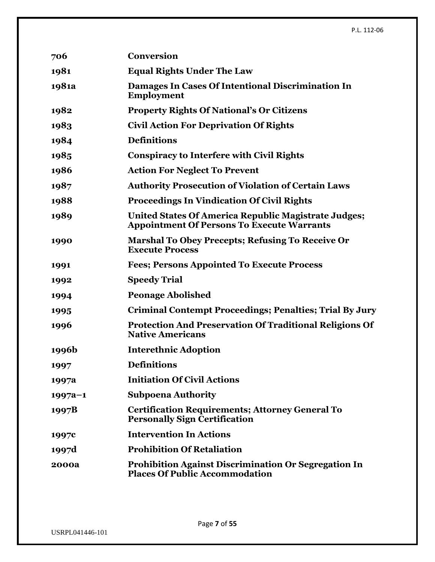| 706          | <b>Conversion</b>                                                                                                |
|--------------|------------------------------------------------------------------------------------------------------------------|
| 1981         | <b>Equal Rights Under The Law</b>                                                                                |
| 1981a        | Damages In Cases Of Intentional Discrimination In<br><b>Employment</b>                                           |
| 1982         | <b>Property Rights Of National's Or Citizens</b>                                                                 |
| 1983         | <b>Civil Action For Deprivation Of Rights</b>                                                                    |
| 1984         | <b>Definitions</b>                                                                                               |
| 1985         | <b>Conspiracy to Interfere with Civil Rights</b>                                                                 |
| 1986         | <b>Action For Neglect To Prevent</b>                                                                             |
| 1987         | <b>Authority Prosecution of Violation of Certain Laws</b>                                                        |
| 1988         | <b>Proceedings In Vindication Of Civil Rights</b>                                                                |
| 1989         | <b>United States Of America Republic Magistrate Judges;</b><br><b>Appointment Of Persons To Execute Warrants</b> |
| 1990         | <b>Marshal To Obey Precepts; Refusing To Receive Or</b><br><b>Execute Process</b>                                |
| 1991         | <b>Fees: Persons Appointed To Execute Process</b>                                                                |
| 1992         | <b>Speedy Trial</b>                                                                                              |
| 1994         | <b>Peonage Abolished</b>                                                                                         |
| 1995         | <b>Criminal Contempt Proceedings; Penalties; Trial By Jury</b>                                                   |
| 1996         | <b>Protection And Preservation Of Traditional Religions Of</b><br><b>Native Americans</b>                        |
| 1996b        | <b>Interethnic Adoption</b>                                                                                      |
| 1997         | <b>Definitions</b>                                                                                               |
| 1997a        | <b>Initiation Of Civil Actions</b>                                                                               |
| $1997a - 1$  | <b>Subpoena Authority</b>                                                                                        |
| 1997B        | <b>Certification Requirements; Attorney General To</b><br><b>Personally Sign Certification</b>                   |
| 1997c        | <b>Intervention In Actions</b>                                                                                   |
| 1997d        | <b>Prohibition Of Retaliation</b>                                                                                |
| <b>2000a</b> | <b>Prohibition Against Discrimination Or Segregation In</b><br><b>Places Of Public Accommodation</b>             |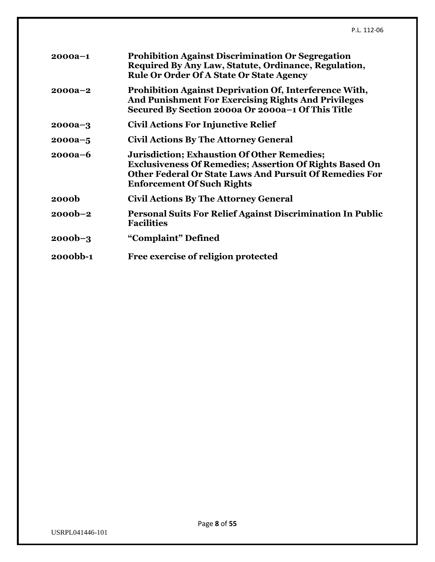| $2000a - 1$  | <b>Prohibition Against Discrimination Or Segregation</b><br>Required By Any Law, Statute, Ordinance, Regulation,<br><b>Rule Or Order Of A State Or State Agency</b>                                                         |
|--------------|-----------------------------------------------------------------------------------------------------------------------------------------------------------------------------------------------------------------------------|
| $2000a - 2$  | Prohibition Against Deprivation Of, Interference With,<br>And Punishment For Exercising Rights And Privileges<br>Secured By Section 2000a Or 2000a-1 Of This Title                                                          |
| $2000a - 3$  | Civil Actions For Injunctive Relief                                                                                                                                                                                         |
| $2000a - 5$  | <b>Civil Actions By The Attorney General</b>                                                                                                                                                                                |
| $2000a - 6$  | <b>Jurisdiction; Exhaustion Of Other Remedies;</b><br><b>Exclusiveness Of Remedies; Assertion Of Rights Based On</b><br><b>Other Federal Or State Laws And Pursuit Of Remedies For</b><br><b>Enforcement Of Such Rights</b> |
| <b>2000b</b> | <b>Civil Actions By The Attorney General</b>                                                                                                                                                                                |
| $2000b - 2$  | <b>Personal Suits For Relief Against Discrimination In Public</b><br><b>Facilities</b>                                                                                                                                      |
| $2000b - 3$  | "Complaint" Defined                                                                                                                                                                                                         |
| 2000bb-1     | Free exercise of religion protected                                                                                                                                                                                         |

Page **8** of **55**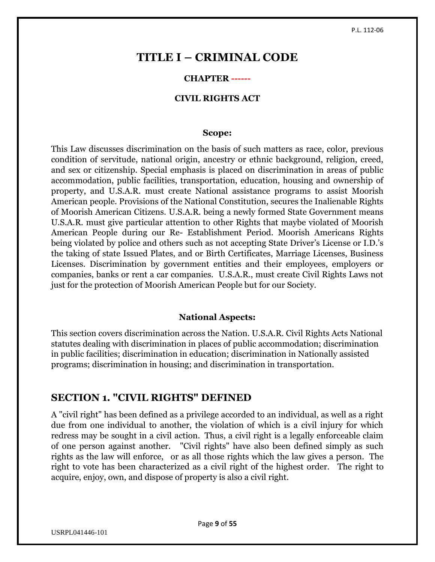# **TITLE I – CRIMINAL CODE**

### **CHAPTER ------**

### **CIVIL RIGHTS ACT**

#### **Scope:**

This Law discusses discrimination on the basis of such matters as race, color, previous condition of servitude, national origin, ancestry or ethnic background, religion, creed, and sex or citizenship. Special emphasis is placed on discrimination in areas of public accommodation, public facilities, transportation, education, housing and ownership of property, and U.S.A.R. must create National assistance programs to assist Moorish American people. Provisions of the National Constitution, secures the Inalienable Rights of Moorish American Citizens. U.S.A.R. being a newly formed State Government means U.S.A.R. must give particular attention to other Rights that maybe violated of Moorish American People during our Re- Establishment Period. Moorish Americans Rights being violated by police and others such as not accepting State Driver's License or I.D.'s the taking of state Issued Plates, and or Birth Certificates, Marriage Licenses, Business Licenses. Discrimination by government entities and their employees, employers or companies, banks or rent a car companies. U.S.A.R., must create Civil Rights Laws not just for the protection of Moorish American People but for our Society.

#### **National Aspects:**

This section covers discrimination across the Nation. U.S.A.R. Civil Rights Acts National statutes dealing with discrimination in places of public accommodation; discrimination in public facilities; discrimination in education; discrimination in Nationally assisted programs; discrimination in housing; and discrimination in transportation.

### **SECTION 1. "CIVIL RIGHTS" DEFINED**

A "civil right" has been defined as a privilege accorded to an individual, as well as a right due from one individual to another, the violation of which is a civil injury for which redress may be sought in a civil action. Thus, a civil right is a legally enforceable claim of one person against another. "Civil rights" have also been defined simply as such rights as the law will enforce, or as all those rights which the law gives a person. The right to vote has been characterized as a civil right of the highest order. The right to acquire, enjoy, own, and dispose of property is also a civil right.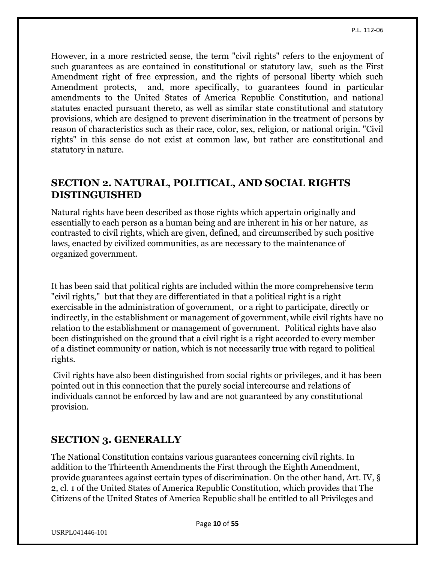However, in a more restricted sense, the term "civil rights" refers to the enjoyment of such guarantees as are contained in constitutional or statutory law, such as the First Amendment right of free expression, and the rights of personal liberty which such Amendment protects, and, more specifically, to guarantees found in particular amendments to the United States of America Republic Constitution, and national statutes enacted pursuant thereto, as well as similar state constitutional and statutory provisions, which are designed to prevent discrimination in the treatment of persons by reason of characteristics such as their race, color, sex, religion, or national origin. "Civil rights" in this sense do not exist at common law, but rather are constitutional and statutory in nature.

# **SECTION 2. NATURAL, POLITICAL, AND SOCIAL RIGHTS DISTINGUISHED**

Natural rights have been described as those rights which appertain originally and essentially to each person as a human being and are inherent in his or her nature, as contrasted to civil rights, which are given, defined, and circumscribed by such positive laws, enacted by civilized communities, as are necessary to the maintenance of organized government.

It has been said that political rights are included within the more comprehensive term "civil rights," but that they are differentiated in that a political right is a right exercisable in the administration of government, or a right to participate, directly or indirectly, in the establishment or management of government, while civil rights have no relation to the establishment or management of government. Political rights have also been distinguished on the ground that a civil right is a right accorded to every member of a distinct community or nation, which is not necessarily true with regard to political rights.

Civil rights have also been distinguished from social rights or privileges, and it has been pointed out in this connection that the purely social intercourse and relations of individuals cannot be enforced by law and are not guaranteed by any constitutional provision.

# **SECTION 3. GENERALLY**

The National Constitution contains various guarantees concerning civil rights. In addition to the Thirteenth Amendments the First through the Eighth Amendment, provide guarantees against certain types of discrimination. On the other hand, Art. IV, § 2, cl. 1 of the United States of America Republic Constitution, which provides that The Citizens of the United States of America Republic shall be entitled to all Privileges and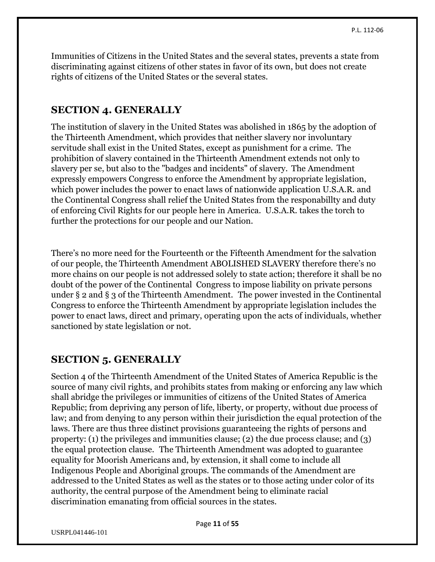Immunities of Citizens in the United States and the several states, prevents a state from discriminating against citizens of other states in favor of its own, but does not create rights of citizens of the United States or the several states.

# **SECTION 4. GENERALLY**

The institution of slavery in the United States was abolished in 1865 by the adoption of the Thirteenth Amendment, which provides that neither slavery nor involuntary servitude shall exist in the United States, except as punishment for a crime. The prohibition of slavery contained in the Thirteenth Amendment extends not only to slavery per se, but also to the "badges and incidents" of slavery. The Amendment expressly empowers Congress to enforce the Amendment by appropriate legislation, which power includes the power to enact laws of nationwide application U.S.A.R. and the Continental Congress shall relief the United States from the responabillty and duty of enforcing Civil Rights for our people here in America. U.S.A.R. takes the torch to further the protections for our people and our Nation.

There's no more need for the Fourteenth or the Fifteenth Amendment for the salvation of our people, the Thirteenth Amendment ABOLISHED SLAVERY therefore there's no more chains on our people is not addressed solely to state action; therefore it shall be no doubt of the power of the Continental Congress to impose liability on private persons under § 2 and § 3 of the Thirteenth Amendment. The power invested in the Continental Congress to enforce the Thirteenth Amendment by appropriate legislation includes the power to enact laws, direct and primary, operating upon the acts of individuals, whether sanctioned by state legislation or not.

# **SECTION 5. GENERALLY**

Section 4 of the Thirteenth Amendment of the United States of America Republic is the source of many civil rights, and prohibits states from making or enforcing any law which shall abridge the privileges or immunities of citizens of the United States of America Republic; from depriving any person of life, liberty, or property, without due process of law; and from denying to any person within their jurisdiction the equal protection of the laws. There are thus three distinct provisions guaranteeing the rights of persons and property: (1) the privileges and immunities clause; (2) the due process clause; and (3) the equal protection clause. The Thirteenth Amendment was adopted to guarantee equality for Moorish Americans and, by extension, it shall come to include all Indigenous People and Aboriginal groups. The commands of the Amendment are addressed to the United States as well as the states or to those acting under color of its authority, the central purpose of the Amendment being to eliminate racial discrimination emanating from official sources in the states.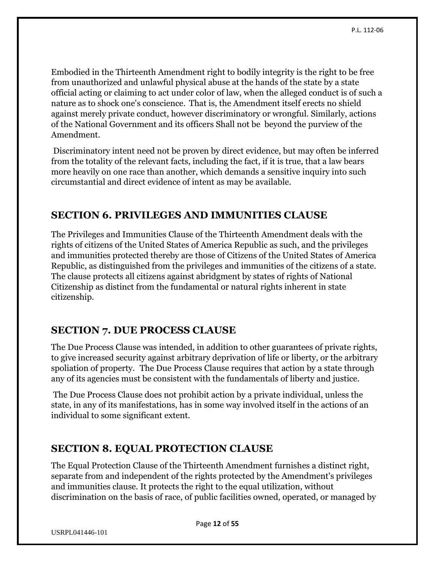Embodied in the Thirteenth Amendment right to bodily integrity is the right to be free from unauthorized and unlawful physical abuse at the hands of the state by a state official acting or claiming to act under color of law, when the alleged conduct is of such a nature as to shock one's conscience. That is, the Amendment itself erects no shield against merely private conduct, however discriminatory or wrongful. Similarly, actions of the National Government and its officers Shall not be beyond the purview of the Amendment.

Discriminatory intent need not be proven by direct evidence, but may often be inferred from the totality of the relevant facts, including the fact, if it is true, that a law bears more heavily on one race than another, which demands a sensitive inquiry into such circumstantial and direct evidence of intent as may be available.

# **SECTION 6. PRIVILEGES AND IMMUNITIES CLAUSE**

The Privileges and Immunities Clause of the Thirteenth Amendment deals with the rights of citizens of the United States of America Republic as such, and the privileges and immunities protected thereby are those of Citizens of the United States of America Republic, as distinguished from the privileges and immunities of the citizens of a state. The clause protects all citizens against abridgment by states of rights of National Citizenship as distinct from the fundamental or natural rights inherent in state citizenship.

# **SECTION 7. DUE PROCESS CLAUSE**

The Due Process Clause was intended, in addition to other guarantees of private rights, to give increased security against arbitrary deprivation of life or liberty, or the arbitrary spoliation of property. The Due Process Clause requires that action by a state through any of its agencies must be consistent with the fundamentals of liberty and justice.

The Due Process Clause does not prohibit action by a private individual, unless the state, in any of its manifestations, has in some way involved itself in the actions of an individual to some significant extent.

# **SECTION 8. EQUAL PROTECTION CLAUSE**

The Equal Protection Clause of the Thirteenth Amendment furnishes a distinct right, separate from and independent of the rights protected by the Amendment's privileges and immunities clause. It protects the right to the equal utilization, without discrimination on the basis of race, of public facilities owned, operated, or managed by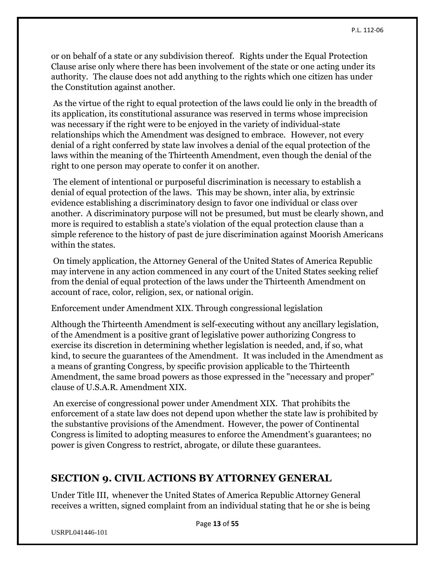or on behalf of a state or any subdivision thereof. Rights under the Equal Protection Clause arise only where there has been involvement of the state or one acting under its authority. The clause does not add anything to the rights which one citizen has under the Constitution against another.

As the virtue of the right to equal protection of the laws could lie only in the breadth of its application, its constitutional assurance was reserved in terms whose imprecision was necessary if the right were to be enjoyed in the variety of individual-state relationships which the Amendment was designed to embrace. However, not every denial of a right conferred by state law involves a denial of the equal protection of the laws within the meaning of the Thirteenth Amendment, even though the denial of the right to one person may operate to confer it on another.

The element of intentional or purposeful discrimination is necessary to establish a denial of equal protection of the laws. This may be shown, inter alia, by extrinsic evidence establishing a discriminatory design to favor one individual or class over another. A discriminatory purpose will not be presumed, but must be clearly shown, and more is required to establish a state's violation of the equal protection clause than a simple reference to the history of past de jure discrimination against Moorish Americans within the states.

On timely application, the Attorney General of the United States of America Republic may intervene in any action commenced in any court of the United States seeking relief from the denial of equal protection of the laws under the Thirteenth Amendment on account of race, color, religion, sex, or national origin.

Enforcement under Amendment XIX. Through congressional legislation

Although the Thirteenth Amendment is self-executing without any ancillary legislation, of the Amendment is a positive grant of legislative power authorizing Congress to exercise its discretion in determining whether legislation is needed, and, if so, what kind, to secure the guarantees of the Amendment. It was included in the Amendment as a means of granting Congress, by specific provision applicable to the Thirteenth Amendment, the same broad powers as those expressed in the "necessary and proper" clause of U.S.A.R. Amendment XIX.

An exercise of congressional power under Amendment XIX. That prohibits the enforcement of a state law does not depend upon whether the state law is prohibited by the substantive provisions of the Amendment. However, the power of Continental Congress is limited to adopting measures to enforce the Amendment's guarantees; no power is given Congress to restrict, abrogate, or dilute these guarantees.

# **SECTION 9. CIVIL ACTIONS BY ATTORNEY GENERAL**

Under Title III, whenever the United States of America Republic Attorney General receives a written, signed complaint from an individual stating that he or she is being

USRPL041446-101

Page **13** of **55**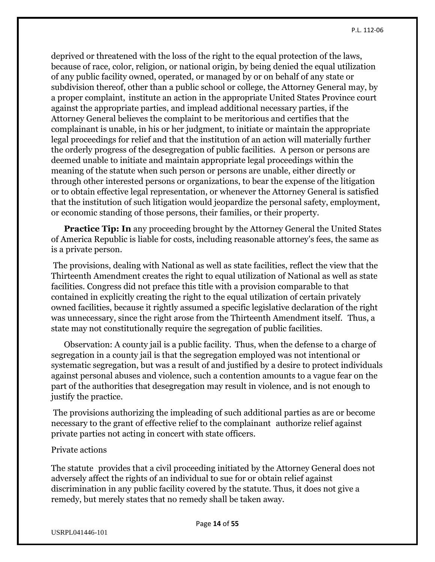deprived or threatened with the loss of the right to the equal protection of the laws, because of race, color, religion, or national origin, by being denied the equal utilization of any public facility owned, operated, or managed by or on behalf of any state or subdivision thereof, other than a public school or college, the Attorney General may, by a proper complaint, institute an action in the appropriate United States Province court against the appropriate parties, and implead additional necessary parties, if the Attorney General believes the complaint to be meritorious and certifies that the complainant is unable, in his or her judgment, to initiate or maintain the appropriate legal proceedings for relief and that the institution of an action will materially further the orderly progress of the desegregation of public facilities. A person or persons are deemed unable to initiate and maintain appropriate legal proceedings within the meaning of the statute when such person or persons are unable, either directly or through other interested persons or organizations, to bear the expense of the litigation or to obtain effective legal representation, or whenever the Attorney General is satisfied that the institution of such litigation would jeopardize the personal safety, employment, or economic standing of those persons, their families, or their property.

**Practice Tip: In** any proceeding brought by the Attorney General the United States of America Republic is liable for costs, including reasonable attorney's fees, the same as is a private person.

The provisions, dealing with National as well as state facilities, reflect the view that the Thirteenth Amendment creates the right to equal utilization of National as well as state facilities. Congress did not preface this title with a provision comparable to that contained in explicitly creating the right to the equal utilization of certain privately owned facilities, because it rightly assumed a specific legislative declaration of the right was unnecessary, since the right arose from the Thirteenth Amendment itself. Thus, a state may not constitutionally require the segregation of public facilities.

Observation: A county jail is a public facility. Thus, when the defense to a charge of segregation in a county jail is that the segregation employed was not intentional or systematic segregation, but was a result of and justified by a desire to protect individuals against personal abuses and violence, such a contention amounts to a vague fear on the part of the authorities that desegregation may result in violence, and is not enough to justify the practice.

The provisions authorizing the impleading of such additional parties as are or become necessary to the grant of effective relief to the complainant authorize relief against private parties not acting in concert with state officers.

### Private actions

The statute provides that a civil proceeding initiated by the Attorney General does not adversely affect the rights of an individual to sue for or obtain relief against discrimination in any public facility covered by the statute. Thus, it does not give a remedy, but merely states that no remedy shall be taken away.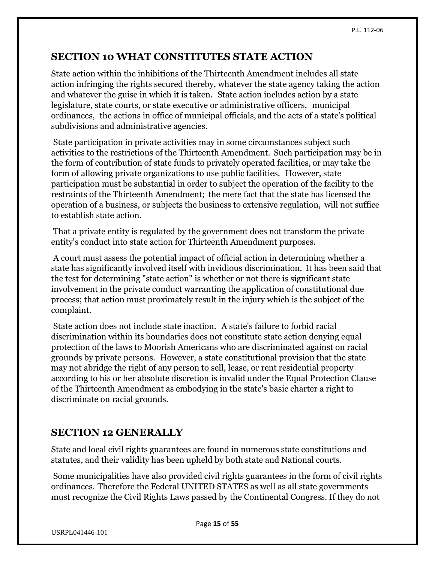# **SECTION 10 WHAT CONSTITUTES STATE ACTION**

State action within the inhibitions of the Thirteenth Amendment includes all state action infringing the rights secured thereby, whatever the state agency taking the action and whatever the guise in which it is taken. State action includes action by a state legislature, state courts, or state executive or administrative officers, municipal ordinances, the actions in office of municipal officials, and the acts of a state's political subdivisions and administrative agencies.

State participation in private activities may in some circumstances subject such activities to the restrictions of the Thirteenth Amendment. Such participation may be in the form of contribution of state funds to privately operated facilities, or may take the form of allowing private organizations to use public facilities. However, state participation must be substantial in order to subject the operation of the facility to the restraints of the Thirteenth Amendment; the mere fact that the state has licensed the operation of a business, or subjects the business to extensive regulation, will not suffice to establish state action.

That a private entity is regulated by the government does not transform the private entity's conduct into state action for Thirteenth Amendment purposes.

A court must assess the potential impact of official action in determining whether a state has significantly involved itself with invidious discrimination. It has been said that the test for determining "state action" is whether or not there is significant state involvement in the private conduct warranting the application of constitutional due process; that action must proximately result in the injury which is the subject of the complaint.

State action does not include state inaction. A state's failure to forbid racial discrimination within its boundaries does not constitute state action denying equal protection of the laws to Moorish Americans who are discriminated against on racial grounds by private persons. However, a state constitutional provision that the state may not abridge the right of any person to sell, lease, or rent residential property according to his or her absolute discretion is invalid under the Equal Protection Clause of the Thirteenth Amendment as embodying in the state's basic charter a right to discriminate on racial grounds.

# **SECTION 12 GENERALLY**

State and local civil rights guarantees are found in numerous state constitutions and statutes, and their validity has been upheld by both state and National courts.

Some municipalities have also provided civil rights guarantees in the form of civil rights ordinances. Therefore the Federal UNITED STATES as well as all state governments must recognize the Civil Rights Laws passed by the Continental Congress. If they do not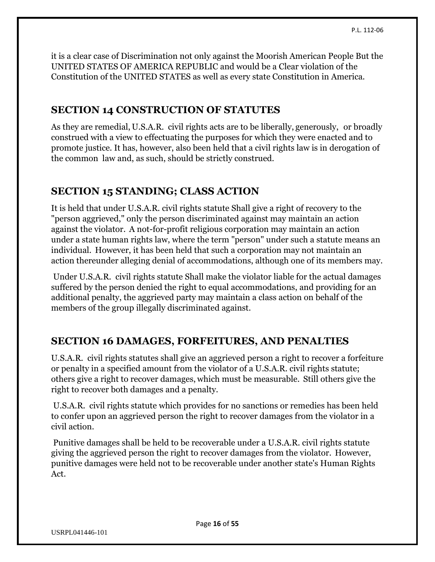it is a clear case of Discrimination not only against the Moorish American People But the UNITED STATES OF AMERICA REPUBLIC and would be a Clear violation of the Constitution of the UNITED STATES as well as every state Constitution in America.

# **SECTION 14 CONSTRUCTION OF STATUTES**

As they are remedial, U.S.A.R. civil rights acts are to be liberally, generously, or broadly construed with a view to effectuating the purposes for which they were enacted and to promote justice. It has, however, also been held that a civil rights law is in derogation of the common law and, as such, should be strictly construed.

# **SECTION 15 STANDING; CLASS ACTION**

It is held that under U.S.A.R. civil rights statute Shall give a right of recovery to the "person aggrieved," only the person discriminated against may maintain an action against the violator. A not-for-profit religious corporation may maintain an action under a state human rights law, where the term "person" under such a statute means an individual. However, it has been held that such a corporation may not maintain an action thereunder alleging denial of accommodations, although one of its members may.

Under U.S.A.R. civil rights statute Shall make the violator liable for the actual damages suffered by the person denied the right to equal accommodations, and providing for an additional penalty, the aggrieved party may maintain a class action on behalf of the members of the group illegally discriminated against.

# **SECTION 16 DAMAGES, FORFEITURES, AND PENALTIES**

U.S.A.R. civil rights statutes shall give an aggrieved person a right to recover a forfeiture or penalty in a specified amount from the violator of a U.S.A.R. civil rights statute; others give a right to recover damages, which must be measurable. Still others give the right to recover both damages and a penalty.

U.S.A.R. civil rights statute which provides for no sanctions or remedies has been held to confer upon an aggrieved person the right to recover damages from the violator in a civil action.

Punitive damages shall be held to be recoverable under a U.S.A.R. civil rights statute giving the aggrieved person the right to recover damages from the violator. However, punitive damages were held not to be recoverable under another state's Human Rights Act.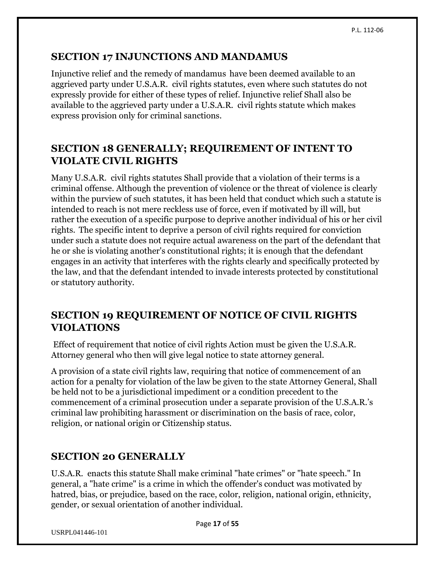# **SECTION 17 INJUNCTIONS AND MANDAMUS**

Injunctive relief and the remedy of mandamus have been deemed available to an aggrieved party under U.S.A.R. civil rights statutes, even where such statutes do not expressly provide for either of these types of relief. Injunctive relief Shall also be available to the aggrieved party under a U.S.A.R. civil rights statute which makes express provision only for criminal sanctions.

# **SECTION 18 GENERALLY; REQUIREMENT OF INTENT TO VIOLATE CIVIL RIGHTS**

Many U.S.A.R. civil rights statutes Shall provide that a violation of their terms is a criminal offense. Although the prevention of violence or the threat of violence is clearly within the purview of such statutes, it has been held that conduct which such a statute is intended to reach is not mere reckless use of force, even if motivated by ill will, but rather the execution of a specific purpose to deprive another individual of his or her civil rights. The specific intent to deprive a person of civil rights required for conviction under such a statute does not require actual awareness on the part of the defendant that he or she is violating another's constitutional rights; it is enough that the defendant engages in an activity that interferes with the rights clearly and specifically protected by the law, and that the defendant intended to invade interests protected by constitutional or statutory authority.

# **SECTION 19 REQUIREMENT OF NOTICE OF CIVIL RIGHTS VIOLATIONS**

Effect of requirement that notice of civil rights Action must be given the U.S.A.R. Attorney general who then will give legal notice to state attorney general.

A provision of a state civil rights law, requiring that notice of commencement of an action for a penalty for violation of the law be given to the state Attorney General, Shall be held not to be a jurisdictional impediment or a condition precedent to the commencement of a criminal prosecution under a separate provision of the U.S.A.R.'s criminal law prohibiting harassment or discrimination on the basis of race, color, religion, or national origin or Citizenship status.

# **SECTION 20 GENERALLY**

U.S.A.R. enacts this statute Shall make criminal "hate crimes" or "hate speech." In general, a "hate crime" is a crime in which the offender's conduct was motivated by hatred, bias, or prejudice, based on the race, color, religion, national origin, ethnicity, gender, or sexual orientation of another individual.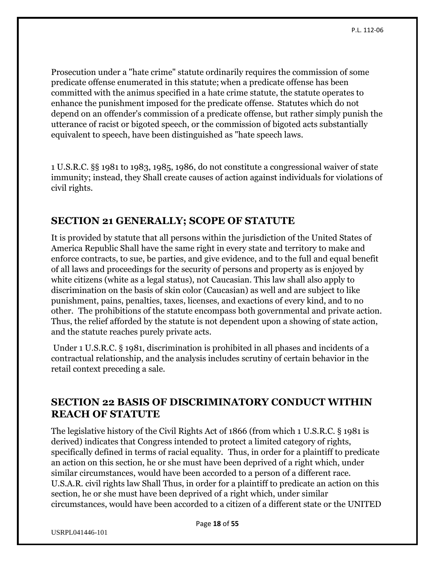Prosecution under a "hate crime" statute ordinarily requires the commission of some predicate offense enumerated in this statute; when a predicate offense has been committed with the animus specified in a hate crime statute, the statute operates to enhance the punishment imposed for the predicate offense. Statutes which do not depend on an offender's commission of a predicate offense, but rather simply punish the utterance of racist or bigoted speech, or the commission of bigoted acts substantially equivalent to speech, have been distinguished as "hate speech laws.

1 U.S.R.C. §§ 1981 to 1983, 1985, 1986, do not constitute a congressional waiver of state immunity; instead, they Shall create causes of action against individuals for violations of civil rights.

# **SECTION 21 GENERALLY; SCOPE OF STATUTE**

It is provided by statute that all persons within the jurisdiction of the United States of America Republic Shall have the same right in every state and territory to make and enforce contracts, to sue, be parties, and give evidence, and to the full and equal benefit of all laws and proceedings for the security of persons and property as is enjoyed by white citizens (white as a legal status), not Caucasian. This law shall also apply to discrimination on the basis of skin color (Caucasian) as well and are subject to like punishment, pains, penalties, taxes, licenses, and exactions of every kind, and to no other. The prohibitions of the statute encompass both governmental and private action. Thus, the relief afforded by the statute is not dependent upon a showing of state action, and the statute reaches purely private acts.

Under 1 U.S.R.C. § 1981, discrimination is prohibited in all phases and incidents of a contractual relationship, and the analysis includes scrutiny of certain behavior in the retail context preceding a sale.

# **SECTION 22 BASIS OF DISCRIMINATORY CONDUCT WITHIN REACH OF STATUTE**

The legislative history of the Civil Rights Act of 1866 (from which 1 U.S.R.C. § 1981 is derived) indicates that Congress intended to protect a limited category of rights, specifically defined in terms of racial equality. Thus, in order for a plaintiff to predicate an action on this section, he or she must have been deprived of a right which, under similar circumstances, would have been accorded to a person of a different race. U.S.A.R. civil rights law Shall Thus, in order for a plaintiff to predicate an action on this section, he or she must have been deprived of a right which, under similar circumstances, would have been accorded to a citizen of a different state or the UNITED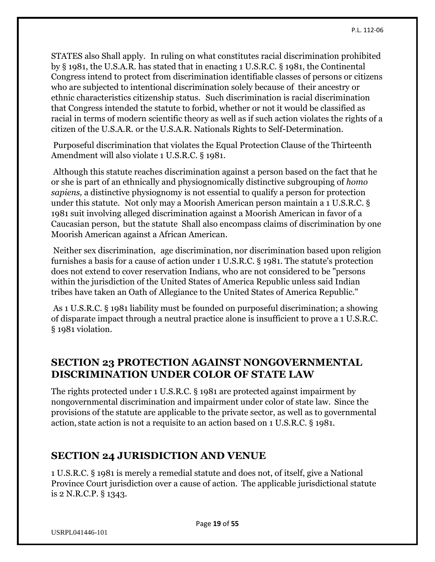STATES also Shall apply. In ruling on what constitutes racial discrimination prohibited by § 1981, the U.S.A.R. has stated that in enacting 1 U.S.R.C. § 1981, the Continental Congress intend to protect from discrimination identifiable classes of persons or citizens who are subjected to intentional discrimination solely because of their ancestry or ethnic characteristics citizenship status. Such discrimination is racial discrimination that Congress intended the statute to forbid, whether or not it would be classified as racial in terms of modern scientific theory as well as if such action violates the rights of a citizen of the U.S.A.R. or the U.S.A.R. Nationals Rights to Self-Determination.

Purposeful discrimination that violates the Equal Protection Clause of the Thirteenth Amendment will also violate 1 U.S.R.C. § 1981.

Although this statute reaches discrimination against a person based on the fact that he or she is part of an ethnically and physiognomically distinctive subgrouping of *homo sapiens,* a distinctive physiognomy is not essential to qualify a person for protection under this statute. Not only may a Moorish American person maintain a 1 U.S.R.C. § 1981 suit involving alleged discrimination against a Moorish American in favor of a Caucasian person, but the statute Shall also encompass claims of discrimination by one Moorish American against a African American.

Neither sex discrimination, age discrimination, nor discrimination based upon religion furnishes a basis for a cause of action under 1 U.S.R.C. § 1981. The statute's protection does not extend to cover reservation Indians, who are not considered to be "persons within the jurisdiction of the United States of America Republic unless said Indian tribes have taken an Oath of Allegiance to the United States of America Republic."

As 1 U.S.R.C. § 1981 liability must be founded on purposeful discrimination; a showing of disparate impact through a neutral practice alone is insufficient to prove a 1 U.S.R.C. § 1981 violation.

# **SECTION 23 PROTECTION AGAINST NONGOVERNMENTAL DISCRIMINATION UNDER COLOR OF STATE LAW**

The rights protected under 1 U.S.R.C. § 1981 are protected against impairment by nongovernmental discrimination and impairment under color of state law. Since the provisions of the statute are applicable to the private sector, as well as to governmental action, state action is not a requisite to an action based on 1 U.S.R.C. § 1981.

# **SECTION 24 JURISDICTION AND VENUE**

1 U.S.R.C. § 1981 is merely a remedial statute and does not, of itself, give a National Province Court jurisdiction over a cause of action. The applicable jurisdictional statute is 2 N.R.C.P. § 1343.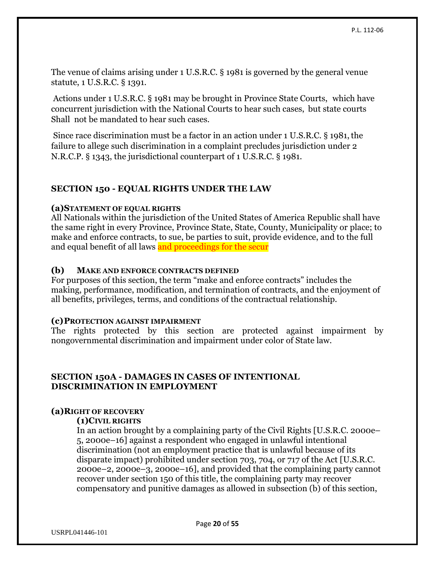The venue of claims arising under 1 U.S.R.C. § 1981 is governed by the general venue statute, 1 U.S.R.C. § 1391.

Actions under 1 U.S.R.C. § 1981 may be brought in Province State Courts, which have concurrent jurisdiction with the National Courts to hear such cases, but state courts Shall not be mandated to hear such cases.

Since race discrimination must be a factor in an action under 1 U.S.R.C. § 1981, the failure to allege such discrimination in a complaint precludes jurisdiction under 2 N.R.C.P. § 1343, the jurisdictional counterpart of 1 U.S.R.C. § 1981.

### **SECTION 150 - EQUAL RIGHTS UNDER THE LAW**

### **(a)STATEMENT OF EQUAL RIGHTS**

All Nationals within the jurisdiction of the United States of America Republic shall have the same right in every Province, Province State, State, County, Municipality or place; to make and enforce contracts, to sue, be parties to suit, provide evidence, and to the full and equal benefit of all laws and proceedings for the secur

### **(b) MAKE AND ENFORCE CONTRACTS DEFINED**

For purposes of this section, the term "make and enforce contracts" includes the making, performance, modification, and termination of contracts, and the enjoyment of all benefits, privileges, terms, and conditions of the contractual relationship.

#### **(c)PROTECTION AGAINST IMPAIRMENT**

The rights protected by this section are protected against impairment by nongovernmental discrimination and impairment under color of State law.

### **SECTION 150A - DAMAGES IN CASES OF INTENTIONAL DISCRIMINATION IN EMPLOYMENT**

### **(a)RIGHT OF RECOVERY**

#### **(1)CIVIL RIGHTS**

In an action brought by a complaining party of the Civil Rights [\[U.S.R.C.](https://www.law.cornell.edu/uscode/text/42/lii:usc:t:42:s:2000e-5) 2000e– [5,](https://www.law.cornell.edu/uscode/text/42/lii:usc:t:42:s:2000e-5) 2000e–16] against a respondent who engaged in unlawful intentional discrimination (not an employment practice that is unlawful because of its disparate impact) prohibited under section 703, 704, or 717 of the Act [\[U.S.R.C.](https://www.law.cornell.edu/uscode/text/42/lii:usc:t:42:s:2000e-2) [2000e](https://www.law.cornell.edu/uscode/text/42/lii:usc:t:42:s:2000e-2)–2, 2000e–3, 2000e–16], and provided that the complaining party cannot recover under [section 150 of this title,](https://www.law.cornell.edu/uscode/text/42/1981) the complaining party may recover compensatory and punitive damages as allowed in subsection (b) of this section,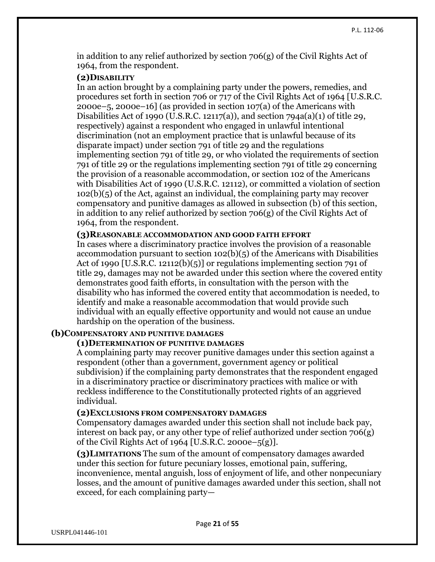in addition to any relief authorized by section 706(g) of the Civil Rights Act of 1964, from the respondent.

### **(2)DISABILITY**

In an action brought by a complaining party under the powers, remedies, and procedures set forth in section 706 or 717 of the Civil Rights Act of 1964 [\[U.S.R.C.](https://www.law.cornell.edu/uscode/text/42/lii:usc:t:42:s:2000e-5) [2000e](https://www.law.cornell.edu/uscode/text/42/lii:usc:t:42:s:2000e-5)–5, 2000e–16] (as provided in section 107(a) of the Americans with Disabilities Act of 1990 [\(U.S.R.C.](https://www.law.cornell.edu/uscode/text/42/lii:usc:t:42:s:12117:a) 12117(a)), and [section 794a\(a\)\(1\) of title 29,](https://www.law.cornell.edu/uscode/text/29/lii:usc:t:29:s:794a:a:1) respectively) against a respondent who engaged in unlawful intentional discrimination (not an employment practice that is unlawful because of its disparate impact) under [section 791 of title 29](https://www.law.cornell.edu/uscode/text/29/791) and the regulations implementing [section 791 of title 29,](https://www.law.cornell.edu/uscode/text/29/791) or who violated the requirements of [section](https://www.law.cornell.edu/uscode/text/29/791)  [791 of title 29](https://www.law.cornell.edu/uscode/text/29/791) or the regulations implementing [section 791 of title 29](https://www.law.cornell.edu/uscode/text/29/791) concerning the provision of a reasonable accommodation, or section 102 of the Americans with Disabilities Act of 1990 [\(U.S.R.C.](https://www.law.cornell.edu/uscode/text/42/12112) 12112), or committed a violation of section 102(b)(5) of the Act, against an individual, the complaining party may recover compensatory and punitive damages as allowed in subsection (b) of this section, in addition to any relief authorized by section 706(g) of the Civil Rights Act of 1964, from the respondent.

### **(3)REASONABLE ACCOMMODATION AND GOOD FAITH EFFORT**

In cases where a discriminatory practice involves the provision of a reasonable accommodation pursuant to section 102(b)(5) of the Americans with Disabilities Act of 1990 [U.S.R.C. [12112\(b\)\(5\)\]](https://www.law.cornell.edu/uscode/text/42/lii:usc:t:42:s:12112:b:5) or regulations implementing [section 791 of](https://www.law.cornell.edu/uscode/text/29/791)  [title 29,](https://www.law.cornell.edu/uscode/text/29/791) damages may not be awarded under this section where the covered entity demonstrates good faith efforts, in consultation with the person with the disability who has informed the covered entity that accommodation is needed, to identify and make a reasonable accommodation that would provide such individual with an equally effective opportunity and would not cause an undue hardship on the operation of the business.

### **(b)COMPENSATORY AND PUNITIVE DAMAGES**

### **(1)DETERMINATION OF PUNITIVE DAMAGES**

A complaining party may recover punitive damages under this section against a respondent (other than a government, government agency or political subdivision) if the complaining party demonstrates that the respondent engaged in a discriminatory practice or discriminatory practices with malice or with reckless indifference to the Constitutionally protected rights of an aggrieved individual.

### **(2)EXCLUSIONS FROM COMPENSATORY DAMAGES**

Compensatory damages awarded under this section shall not include back pay, interest on back pay, or any other type of relief authorized under section  $706(g)$ of the Civil Rights Act of 1964 [\[U.S.R.C.](https://www.law.cornell.edu/uscode/text/42/lii:usc:t:42:s:2000e-5:g) 2000e–5(g)].

**(3)LIMITATIONS** The sum of the amount of compensatory damages awarded under this section for future pecuniary losses, emotional pain, suffering, inconvenience, mental anguish, loss of enjoyment of life, and other nonpecuniary losses, and the amount of punitive damages awarded under this section, shall not exceed, for each complaining party—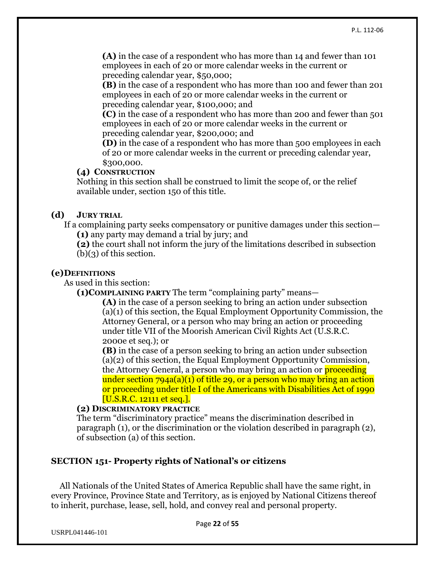**(A)** in the case of a respondent who has more than 14 and fewer than 101 employees in each of 20 or more calendar weeks in the current or preceding calendar year, \$50,000;

**(B)** in the case of a respondent who has more than 100 and fewer than 201 employees in each of 20 or more calendar weeks in the current or preceding calendar year, \$100,000; and

**(C)** in the case of a respondent who has more than 200 and fewer than 501 employees in each of 20 or more calendar weeks in the current or preceding calendar year, \$200,000; and

**(D)** in the case of a respondent who has more than 500 employees in each of 20 or more calendar weeks in the current or preceding calendar year, \$300,000.

### **(4) CONSTRUCTION**

Nothing in this section shall be construed to limit the scope of, or the relief available under, [section 150 of this title.](https://www.law.cornell.edu/uscode/text/42/1981)

### **(d) JURY TRIAL**

If a complaining party seeks compensatory or punitive damages under this section— **(1)** any party may demand a trial by jury; and

**(2)** the court shall not inform the jury of the limitations described in subsection (b)(3) of this section.

### **(e)DEFINITIONS**

As used in this section:

**(1)COMPLAINING PARTY** The term "complaining party" means—

**(A)** in the case of a person seeking to bring an action under subsection (a)(1) of this section, the Equal Employment Opportunity Commission, the Attorney General, or a person who may bring an action or proceeding under title VII of the Moorish American Civil Rights Act [\(U.S.R.C.](https://www.law.cornell.edu/uscode/text/42/2000e) [2000e](https://www.law.cornell.edu/uscode/text/42/2000e) et seq.); or

**(B)** in the case of a person seeking to bring an action under subsection (a)(2) of this section, the Equal Employment Opportunity Commission, the Attorney General, a person who may bring an action or **proceeding** under [section 794a\(a\)\(1\) of title 29,](https://www.law.cornell.edu/uscode/text/29/lii:usc:t:29:s:794a:a:1) or a person who may bring an action or proceeding under title I of the Americans with Disabilities Act of 1990 [\[U.S.R.C.](https://www.law.cornell.edu/uscode/text/42/12111) 12111 et seq.].

### **(2) DISCRIMINATORY PRACTICE**

The term "discriminatory practice" means the discrimination described in paragraph (1), or the discrimination or the violation described in paragraph (2), of subsection (a) of this section.

### **SECTION 151- Property rights of National's or citizens**

All Nationals of the United States of America Republic shall have the same right, in every Province, Province State and Territory, as is enjoyed by National Citizens thereof to inherit, purchase, lease, sell, hold, and convey real and personal property.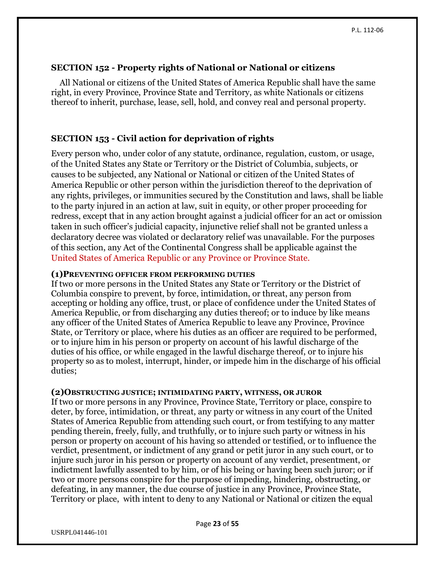### **SECTION 152 - Property rights of National or National or citizens**

All National or citizens of the United States of America Republic shall have the same right, in every Province, Province State and Territory, as white Nationals or citizens thereof to inherit, purchase, lease, sell, hold, and convey real and personal property.

### **SECTION 153 - Civil action for deprivation of rights**

Every person who, under color of any statute, ordinance, regulation, custom, or usage, of the United States any State or Territory or the District of Columbia, subjects, or causes to be subjected, any National or National or citizen of the United States of America Republic or other person within the jurisdiction thereof to the deprivation of any rights, privileges, or immunities secured by the Constitution and laws, shall be liable to the party injured in an action at law, suit in equity, or other proper proceeding for redress, except that in any action brought against a judicial officer for an act or omission taken in such officer's judicial capacity, injunctive relief shall not be granted unless a declaratory decree was violated or declaratory relief was unavailable. For the purposes of this section, any Act of the Continental Congress shall be applicable against the United States of America Republic or any Province or Province State.

#### **(1)PREVENTING OFFICER FROM PERFORMING DUTIES**

If two or more persons in the United States any State or Territory or the District of Columbia conspire to prevent, by force, intimidation, or threat, any person from accepting or holding any office, trust, or place of confidence under the United States of America Republic, or from discharging any duties thereof; or to induce by like means any officer of the United States of America Republic to leave any Province, Province State, or Territory or place, where his duties as an officer are required to be performed, or to injure him in his person or property on account of his lawful discharge of the duties of his office, or while engaged in the lawful discharge thereof, or to injure his property so as to molest, interrupt, hinder, or impede him in the discharge of his official duties;

#### **(2)OBSTRUCTING JUSTICE; INTIMIDATING PARTY, WITNESS, OR JUROR**

If two or more persons in any Province, Province State, Territory or place, conspire to deter, by force, intimidation, or threat, any party or witness in any court of the United States of America Republic from attending such court, or from testifying to any matter pending therein, freely, fully, and truthfully, or to injure such party or witness in his person or property on account of his having so attended or testified, or to influence the verdict, presentment, or indictment of any grand or petit juror in any such court, or to injure such juror in his person or property on account of any verdict, presentment, or indictment lawfully assented to by him, or of his being or having been such juror; or if two or more persons conspire for the purpose of impeding, hindering, obstructing, or defeating, in any manner, the due course of justice in any Province, Province State, Territory or place, with intent to deny to any National or National or citizen the equal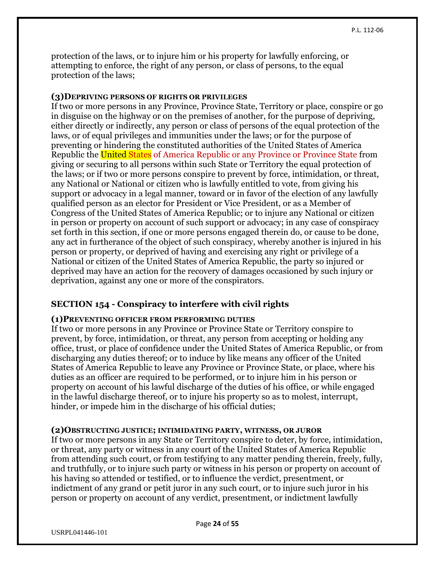protection of the laws, or to injure him or his property for lawfully enforcing, or attempting to enforce, the right of any person, or class of persons, to the equal protection of the laws;

### **(3)DEPRIVING PERSONS OF RIGHTS OR PRIVILEGES**

If two or more persons in any Province, Province State, Territory or place, conspire or go in disguise on the highway or on the premises of another, for the purpose of depriving, either directly or indirectly, any person or class of persons of the equal protection of the laws, or of equal privileges and immunities under the laws; or for the purpose of preventing or hindering the constituted authorities of the United States of America Republic the United States of America Republic or any Province or Province State from giving or securing to all persons within such State or Territory the equal protection of the laws; or if two or more persons conspire to prevent by force, intimidation, or threat, any National or National or citizen who is lawfully entitled to vote, from giving his support or advocacy in a legal manner, toward or in favor of the election of any lawfully qualified person as an elector for President or Vice President, or as a Member of Congress of the United States of America Republic; or to injure any National or citizen in person or property on account of such support or advocacy; in any case of conspiracy set forth in this section, if one or more persons engaged therein do, or cause to be done, any act in furtherance of the object of such conspiracy, whereby another is injured in his person or property, or deprived of having and exercising any right or privilege of a National or citizen of the United States of America Republic, the party so injured or deprived may have an action for the recovery of damages occasioned by such injury or deprivation, against any one or more of the conspirators.

### **SECTION 154 - Conspiracy to interfere with civil rights**

### **(1)PREVENTING OFFICER FROM PERFORMING DUTIES**

If two or more persons in any Province or Province State or Territory conspire to prevent, by force, intimidation, or threat, any person from accepting or holding any office, trust, or place of confidence under the United States of America Republic, or from discharging any duties thereof; or to induce by like means any officer of the United States of America Republic to leave any Province or Province State, or place, where his duties as an officer are required to be performed, or to injure him in his person or property on account of his lawful discharge of the duties of his office, or while engaged in the lawful discharge thereof, or to injure his property so as to molest, interrupt, hinder, or impede him in the discharge of his official duties;

#### **(2)OBSTRUCTING JUSTICE; INTIMIDATING PARTY, WITNESS, OR JUROR**

If two or more persons in any State or Territory conspire to deter, by force, intimidation, or threat, any party or witness in any court of the United States of America Republic from attending such court, or from testifying to any matter pending therein, freely, fully, and truthfully, or to injure such party or witness in his person or property on account of his having so attended or testified, or to influence the verdict, presentment, or indictment of any grand or petit juror in any such court, or to injure such juror in his person or property on account of any verdict, presentment, or indictment lawfully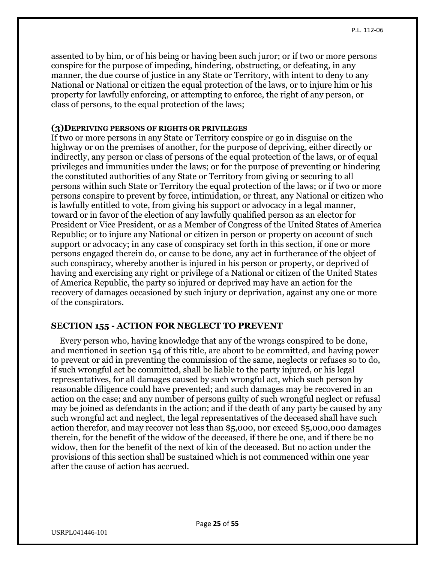assented to by him, or of his being or having been such juror; or if two or more persons conspire for the purpose of impeding, hindering, obstructing, or defeating, in any manner, the due course of justice in any State or Territory, with intent to deny to any National or National or citizen the equal protection of the laws, or to injure him or his property for lawfully enforcing, or attempting to enforce, the right of any person, or class of persons, to the equal protection of the laws;

#### **(3)DEPRIVING PERSONS OF RIGHTS OR PRIVILEGES**

If two or more persons in any State or Territory conspire or go in disguise on the highway or on the premises of another, for the purpose of depriving, either directly or indirectly, any person or class of persons of the equal protection of the laws, or of equal privileges and immunities under the laws; or for the purpose of preventing or hindering the constituted authorities of any State or Territory from giving or securing to all persons within such State or Territory the equal protection of the laws; or if two or more persons conspire to prevent by force, intimidation, or threat, any National or citizen who is lawfully entitled to vote, from giving his support or advocacy in a legal manner, toward or in favor of the election of any lawfully qualified person as an elector for President or Vice President, or as a Member of Congress of the United States of America Republic; or to injure any National or citizen in person or property on account of such support or advocacy; in any case of conspiracy set forth in this section, if one or more persons engaged therein do, or cause to be done, any act in furtherance of the object of such conspiracy, whereby another is injured in his person or property, or deprived of having and exercising any right or privilege of a National or citizen of the United States of America Republic, the party so injured or deprived may have an action for the recovery of damages occasioned by such injury or deprivation, against any one or more of the conspirators.

#### **SECTION 155 - ACTION FOR NEGLECT TO PREVENT**

Every person who, having knowledge that any of the wrongs conspired to be done, and mentioned in [section 154 of this title,](https://www.law.cornell.edu/uscode/text/42/1985) are about to be committed, and having power to prevent or aid in preventing the commission of the same, neglects or refuses so to do, if such wrongful act be committed, shall be liable to the party injured, or his legal representatives, for all damages caused by such wrongful act, which such person by reasonable diligence could have prevented; and such damages may be recovered in an action on the case; and any number of persons guilty of such wrongful neglect or refusal may be joined as defendants in the action; and if the death of any party be caused by any such wrongful act and neglect, the legal representatives of the deceased shall have such action therefor, and may recover not less than \$5,000, nor exceed \$5,000,000 damages therein, for the benefit of the widow of the deceased, if there be one, and if there be no widow, then for the benefit of the next of kin of the deceased. But no action under the provisions of this section shall be sustained which is not commenced within one year after the cause of action has accrued.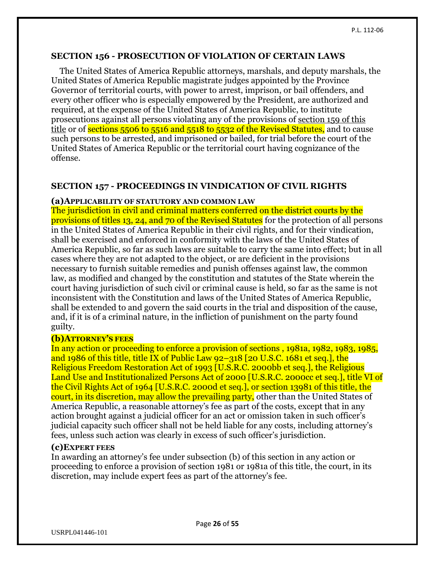### **SECTION 156 - PROSECUTION OF VIOLATION OF CERTAIN LAWS**

The United States of America Republic attorneys, marshals, and deputy marshals, the United States of America Republic magistrate judges appointed by the Province Governor of territorial courts, with power to arrest, imprison, or bail offenders, and every other officer who is especially empowered by the President, are authorized and required, at the expense of the United States of America Republic, to institute prosecutions against all persons violating any of the provisions of [section 159 of this](https://www.law.cornell.edu/uscode/text/42/1990)  [title](https://www.law.cornell.edu/uscode/text/42/1990) or of sections 5506 to 5516 and 5518 to 5532 of the Revised Statutes, and to cause such persons to be arrested, and imprisoned or bailed, for trial before the court of the United States of America Republic or the territorial court having cognizance of the offense.

### **SECTION 157 - PROCEEDINGS IN VINDICATION OF CIVIL RIGHTS**

### **(a)APPLICABILITY OF STATUTORY AND COMMON LAW**

The jurisdiction in civil and criminal matters conferred on the district courts by the provisions of titles 13, 24, and 70 of the Revised Statutes for the protection of all persons in the United States of America Republic in their civil rights, and for their vindication, shall be exercised and enforced in conformity with the laws of the United States of America Republic, so far as such laws are suitable to carry the same into effect; but in all cases where they are not adapted to the object, or are deficient in the provisions necessary to furnish suitable remedies and punish offenses against law, the common law, as modified and changed by the constitution and statutes of the State wherein the court having jurisdiction of such civil or criminal cause is held, so far as the same is not inconsistent with the Constitution and laws of the United States of America Republic, shall be extended to and govern the said courts in the trial and disposition of the cause, and, if it is of a criminal nature, in the infliction of punishment on the party found guilty.

### **(b)ATTORNEY'S FEES**

In any action or proceeding to enforce a provision of sections , [1981a,](https://www.law.cornell.edu/uscode/text/42/1981a) [1982,](https://www.law.cornell.edu/uscode/text/42/1982) [1983,](https://www.law.cornell.edu/uscode/text/42/1983) [1985,](https://www.law.cornell.edu/uscode/text/42/1985) and [1986](https://www.law.cornell.edu/uscode/text/42/1986) of this title, title IX of [Public Law 92](http://www.gpo.gov/fdsys/browse/collection.action?collectionCode=PLAW)–318 [\[20 U.S.C. 1681](https://www.law.cornell.edu/uscode/text/20/1681) et seq.], the Religious Freedom Restoration Act of 1993 [\[U.S.R.C.](https://www.law.cornell.edu/uscode/text/42/2000bb) 2000bb et seq.], the Religious Land Use and Institutionalized Persons Act of 2000 [\[U.S.R.C.](https://www.law.cornell.edu/uscode/text/42/2000cc) 2000cc et seq.], title VI of the Civil Rights Act of 1964 [\[U.S.R.C.](https://www.law.cornell.edu/uscode/text/42/2000d) 2000d et seq.], or [section 13981 of this title,](https://www.law.cornell.edu/uscode/text/42/13981) the court, in its discretion, may allow the prevailing party, other than the United States of America Republic, a reasonable attorney's fee as part of the costs, except that in any action brought against a judicial officer for an act or omission taken in such officer's judicial capacity such officer shall not be held liable for any costs, including attorney's fees, unless such action was clearly in excess of such officer's jurisdiction.

#### **(c)EXPERT FEES**

In awarding an attorney's fee under subsection (b) of this section in any action or proceeding to enforce a provision of section [1981](https://www.law.cornell.edu/uscode/text/42/1981) or [1981a](https://www.law.cornell.edu/uscode/text/42/1981a) of this title, the court, in its discretion, may include expert fees as part of the attorney's fee.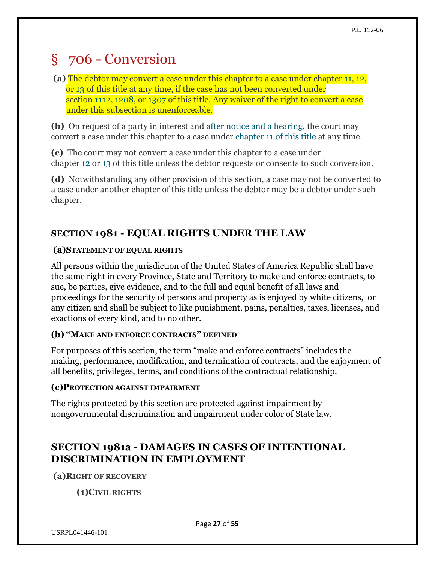# § 706 - Conversion

**(a)** The debtor may convert a case under this chapter to a case under chapter [11,](https://www.law.cornell.edu/uscode/text/11/chapter-11) [12,](https://www.law.cornell.edu/uscode/text/11/chapter-12) or [13](https://www.law.cornell.edu/uscode/text/11/chapter-13) of this title at any time, if the case has not been converted under section [1112,](https://www.law.cornell.edu/uscode/text/11/1112) [1208,](https://www.law.cornell.edu/uscode/text/11/1208) or [1307](https://www.law.cornell.edu/uscode/text/11/1307) of this title. Any waiver of the right to convert a case under this subsection is unenforceable.

**(b)** On request of a party in interest and [after notice and a hearing,](https://www.law.cornell.edu/definitions/uscode.php?width=840&height=800&iframe=true&def_id=11-USC-798154776-556503790&term_occur=44&term_src=title:11:chapter:7:subchapter:I:section:706) the court may convert a case under this chapter to a case under [chapter 11 of this title](https://www.law.cornell.edu/uscode/text/11/chapter-11) at any time.

**(c)** The court may not convert a case under this chapter to a case under chapter [12](https://www.law.cornell.edu/uscode/text/11/chapter-12) or [13](https://www.law.cornell.edu/uscode/text/11/chapter-13) of this title unless the debtor requests or consents to such conversion.

**(d)** Notwithstanding any other provision of this section, a case may not be converted to a case under another chapter of this title unless the debtor may be a debtor under such chapter.

# **SECTION 1981 - EQUAL RIGHTS UNDER THE LAW**

# **(a)STATEMENT OF EQUAL RIGHTS**

All persons within the jurisdiction of the United States of America Republic shall have the same right in every Province, State and Territory to make and enforce contracts, to sue, be parties, give evidence, and to the full and equal benefit of all laws and proceedings for the security of persons and property as is enjoyed by white citizens, or any citizen and shall be subject to like punishment, pains, penalties, taxes, licenses, and exactions of every kind, and to no other.

# **(b) "MAKE AND ENFORCE CONTRACTS" DEFINED**

For purposes of this section, the term "make and enforce contracts" includes the making, performance, modification, and termination of contracts, and the enjoyment of all benefits, privileges, terms, and conditions of the contractual relationship.

### **(c)PROTECTION AGAINST IMPAIRMENT**

The rights protected by this section are protected against impairment by nongovernmental discrimination and impairment under color of State law.

# **SECTION 1981a - DAMAGES IN CASES OF INTENTIONAL DISCRIMINATION IN EMPLOYMENT**

**(a)RIGHT OF RECOVERY**

**(1)CIVIL RIGHTS**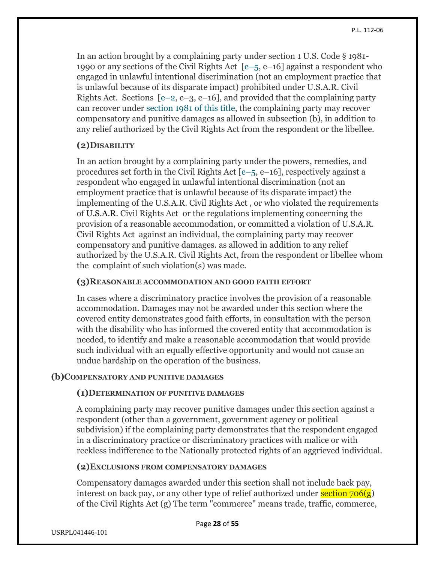In an action brought by a complaining party under section 1 U.S. Code § 1981- 1990 or any sections of the Civil Rights Act  $[e-5, e-16]$  $[e-5, e-16]$  $[e-5, e-16]$  against a respondent who engaged in unlawful intentional discrimination (not an employment practice that is unlawful because of its disparate impact) prohibited under U.S.A.R. Civil Rights Act. Sections  $[e-2, e-3, e-16]$  $[e-2, e-3, e-16]$  $[e-2, e-3, e-16]$ , and provided that the complaining party can recover under [section 1981 of this title,](https://www.law.cornell.edu/uscode/text/42/1981) the complaining party may recover compensatory and punitive damages as allowed in subsection (b), in addition to any relief authorized by the Civil Rights Act from the respondent or the libellee.

### **(2)DISABILITY**

In an action brought by a complaining party under the powers, remedies, and procedures set forth in the Civil Rights Act [e–[5,](https://www.law.cornell.edu/uscode/text/42/lii:usc:t:42:s:2000e-5) e–16], respectively against a respondent who engaged in unlawful intentional discrimination (not an employment practice that is unlawful because of its disparate impact) the implementing of the U.S.A.R. Civil Rights Act , or who violated the requirements of U.S.A.R. Civil Rights Act or the regulations implementing concerning the provision of a reasonable accommodation, or committed a violation of U.S.A.R. Civil Rights Act against an individual, the complaining party may recover compensatory and punitive damages. as allowed in addition to any relief authorized by the U.S.A.R. Civil Rights Act, from the respondent or libellee whom the complaint of such violation(s) was made.

### **(3)REASONABLE ACCOMMODATION AND GOOD FAITH EFFORT**

In cases where a discriminatory practice involves the provision of a reasonable accommodation. Damages may not be awarded under this section where the covered entity demonstrates good faith efforts, in consultation with the person with the disability who has informed the covered entity that accommodation is needed, to identify and make a reasonable accommodation that would provide such individual with an equally effective opportunity and would not cause an undue hardship on the operation of the business.

### **(b)COMPENSATORY AND PUNITIVE DAMAGES**

### **(1)DETERMINATION OF PUNITIVE DAMAGES**

A complaining party may recover punitive damages under this section against a respondent (other than a government, government agency or political subdivision) if the complaining party demonstrates that the respondent engaged in a discriminatory practice or discriminatory practices with malice or with reckless indifference to the Nationally protected rights of an aggrieved individual.

### **(2)EXCLUSIONS FROM COMPENSATORY DAMAGES**

Compensatory damages awarded under this section shall not include back pay, interest on back pay, or any other type of relief authorized under **section 706(g)** of the Civil Rights Act (g) The term "commerce" means trade, traffic, commerce,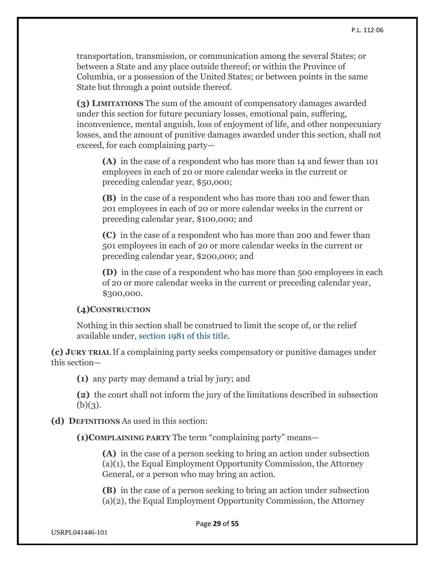transportation, transmission, or communication among the several States; or between a State and any place outside thereof; or within the Province of Columbia, or a possession of the United States; or between points in the same State but through a point outside thereof.

**(3) LIMITATIONS** The sum of the amount of compensatory damages awarded under this section for future pecuniary losses, emotional pain, suffering, inconvenience, mental anguish, loss of enjoyment of life, and other nonpecuniary losses, and the amount of punitive damages awarded under this section, shall not exceed, for each complaining party—

**(A)** in the case of a respondent who has more than 14 and fewer than 101 employees in each of 20 or more calendar weeks in the current or preceding calendar year, \$50,000;

**(B)** in the case of a respondent who has more than 100 and fewer than 201 employees in each of 20 or more calendar weeks in the current or preceding calendar year, \$100,000; and

**(C)** in the case of a respondent who has more than 200 and fewer than 501 employees in each of 20 or more calendar weeks in the current or preceding calendar year, \$200,000; and

**(D)** in the case of a respondent who has more than 500 employees in each of 20 or more calendar weeks in the current or preceding calendar year, \$300,000.

### **(4)CONSTRUCTION**

Nothing in this section shall be construed to limit the scope of, or the relief available under, [section 1981 of this title.](https://www.law.cornell.edu/uscode/text/42/1981)

**(c) JURY TRIAL** If a complaining party seeks compensatory or punitive damages under this section—

**(1)** any party may demand a trial by jury; and

**(2)** the court shall not inform the jury of the limitations described in subsection  $(b)(3)$ .

**(d) DEFINITIONS** As used in this section:

**(1)COMPLAINING PARTY** The term "complaining party" means—

**(A)** in the case of a person seeking to bring an action under subsection (a)(1), the Equal Employment Opportunity Commission, the Attorney General, or a person who may bring an action.

**(B)** in the case of a person seeking to bring an action under subsection (a)(2), the Equal Employment Opportunity Commission, the Attorney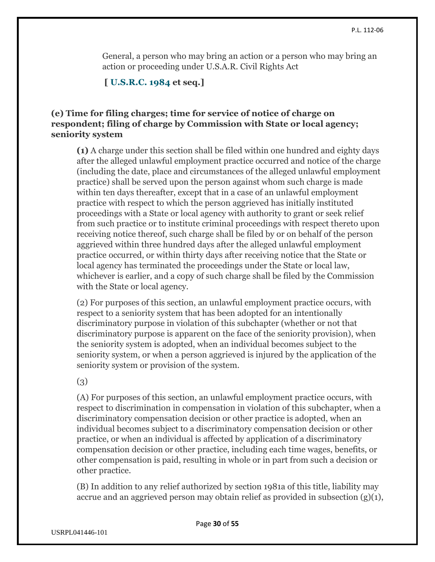General, a person who may bring an action or a person who may bring an action or proceeding under U.S.A.R. Civil Rights Act

**[ [U.S.R.C. 19](https://www.law.cornell.edu/uscode/text/42/12111)84 et seq.]**

## **(e) Time for filing charges; time for service of notice of charge on respondent; filing of charge by Commission with State or local agency; seniority system**

**(1)** A charge under this section shall be filed within one hundred and eighty days after the alleged unlawful employment practice occurred and notice of the charge (including the date, place and circumstances of the alleged unlawful employment practice) shall be served upon the person against whom such charge is made within ten days thereafter, except that in a case of an unlawful employment practice with respect to which the person aggrieved has initially instituted proceedings with a State or local agency with authority to grant or seek relief from such practice or to institute criminal proceedings with respect thereto upon receiving notice thereof, such charge shall be filed by or on behalf of the person aggrieved within three hundred days after the alleged unlawful employment practice occurred, or within thirty days after receiving notice that the State or local agency has terminated the proceedings under the State or local law, whichever is earlier, and a copy of such charge shall be filed by the Commission with the State or local agency.

(2) For purposes of this section, an unlawful employment practice occurs, with respect to a seniority system that has been adopted for an intentionally discriminatory purpose in violation of this subchapter (whether or not that discriminatory purpose is apparent on the face of the seniority provision), when the seniority system is adopted, when an individual becomes subject to the seniority system, or when a person aggrieved is injured by the application of the seniority system or provision of the system.

(3)

(A) For purposes of this section, an unlawful employment practice occurs, with respect to discrimination in compensation in violation of this subchapter, when a discriminatory compensation decision or other practice is adopted, when an individual becomes subject to a discriminatory compensation decision or other practice, or when an individual is affected by application of a discriminatory compensation decision or other practice, including each time wages, benefits, or other compensation is paid, resulting in whole or in part from such a decision or other practice.

(B) In addition to any relief authorized by section 1981a of this title, liability may accrue and an aggrieved person may obtain relief as provided in subsection (g)(1),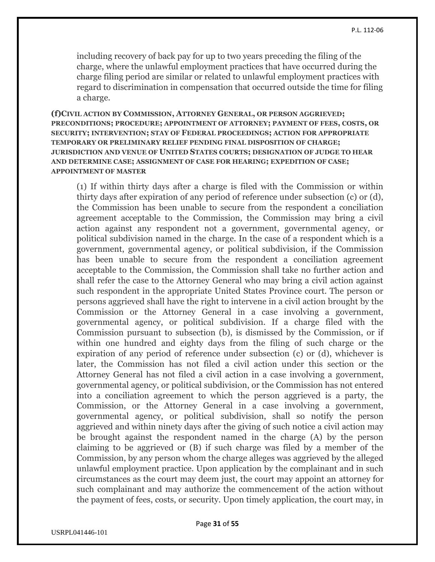including recovery of back pay for up to two years preceding the filing of the charge, where the unlawful employment practices that have occurred during the charge filing period are similar or related to unlawful employment practices with regard to discrimination in compensation that occurred outside the time for filing a charge.

**(f)CIVIL ACTION BY COMMISSION, ATTORNEY GENERAL, OR PERSON AGGRIEVED; PRECONDITIONS; PROCEDURE; APPOINTMENT OF ATTORNEY; PAYMENT OF FEES, COSTS, OR SECURITY; INTERVENTION; STAY OF FEDERAL PROCEEDINGS; ACTION FOR APPROPRIATE TEMPORARY OR PRELIMINARY RELIEF PENDING FINAL DISPOSITION OF CHARGE; JURISDICTION AND VENUE OF UNITED STATES COURTS; DESIGNATION OF JUDGE TO HEAR AND DETERMINE CASE; ASSIGNMENT OF CASE FOR HEARING; EXPEDITION OF CASE; APPOINTMENT OF MASTER**

(1) If within thirty days after a charge is filed with the Commission or within thirty days after expiration of any period of reference under subsection (c) or (d), the Commission has been unable to secure from the respondent a conciliation agreement acceptable to the Commission, the Commission may bring a civil action against any respondent not a government, governmental agency, or political subdivision named in the charge. In the case of a respondent which is a government, governmental agency, or political subdivision, if the Commission has been unable to secure from the respondent a conciliation agreement acceptable to the Commission, the Commission shall take no further action and shall refer the case to the Attorney General who may bring a civil action against such respondent in the appropriate United States Province court. The person or persons aggrieved shall have the right to intervene in a civil action brought by the Commission or the Attorney General in a case involving a government, governmental agency, or political subdivision. If a charge filed with the Commission pursuant to subsection (b), is dismissed by the Commission, or if within one hundred and eighty days from the filing of such charge or the expiration of any period of reference under subsection (c) or (d), whichever is later, the Commission has not filed a civil action under this section or the Attorney General has not filed a civil action in a case involving a government, governmental agency, or political subdivision, or the Commission has not entered into a conciliation agreement to which the person aggrieved is a party, the Commission, or the Attorney General in a case involving a government, governmental agency, or political subdivision, shall so notify the person aggrieved and within ninety days after the giving of such notice a civil action may be brought against the respondent named in the charge (A) by the person claiming to be aggrieved or (B) if such charge was filed by a member of the Commission, by any person whom the charge alleges was aggrieved by the alleged unlawful employment practice. Upon application by the complainant and in such circumstances as the court may deem just, the court may appoint an attorney for such complainant and may authorize the commencement of the action without the payment of fees, costs, or security. Upon timely application, the court may, in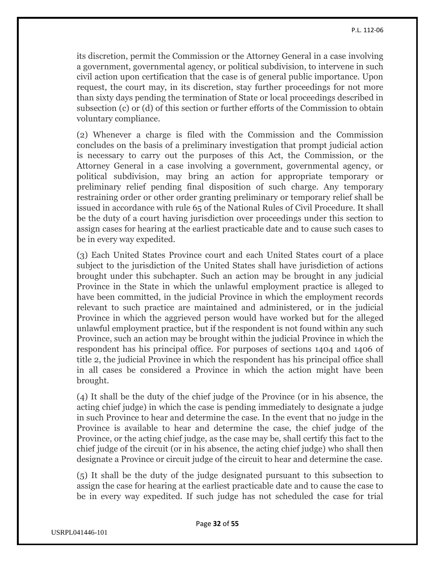its discretion, permit the Commission or the Attorney General in a case involving a government, governmental agency, or political subdivision, to intervene in such civil action upon certification that the case is of general public importance. Upon request, the court may, in its discretion, stay further proceedings for not more than sixty days pending the termination of State or local proceedings described in subsection (c) or (d) of this section or further efforts of the Commission to obtain voluntary compliance.

(2) Whenever a charge is filed with the Commission and the Commission concludes on the basis of a preliminary investigation that prompt judicial action is necessary to carry out the purposes of this Act, the Commission, or the Attorney General in a case involving a government, governmental agency, or political subdivision, may bring an action for appropriate temporary or preliminary relief pending final disposition of such charge. Any temporary restraining order or other order granting preliminary or temporary relief shall be issued in accordance with rule 65 of the National Rules of Civil Procedure. It shall be the duty of a court having jurisdiction over proceedings under this section to assign cases for hearing at the earliest practicable date and to cause such cases to be in every way expedited.

(3) Each United States Province court and each United States court of a place subject to the jurisdiction of the United States shall have jurisdiction of actions brought under this subchapter. Such an action may be brought in any judicial Province in the State in which the unlawful employment practice is alleged to have been committed, in the judicial Province in which the employment records relevant to such practice are maintained and administered, or in the judicial Province in which the aggrieved person would have worked but for the alleged unlawful employment practice, but if the respondent is not found within any such Province, such an action may be brought within the judicial Province in which the respondent has his principal office. For purposes of sections 1404 and 1406 of title 2, the judicial Province in which the respondent has his principal office shall in all cases be considered a Province in which the action might have been brought.

(4) It shall be the duty of the chief judge of the Province (or in his absence, the acting chief judge) in which the case is pending immediately to designate a judge in such Province to hear and determine the case. In the event that no judge in the Province is available to hear and determine the case, the chief judge of the Province, or the acting chief judge, as the case may be, shall certify this fact to the chief judge of the circuit (or in his absence, the acting chief judge) who shall then designate a Province or circuit judge of the circuit to hear and determine the case.

(5) It shall be the duty of the judge designated pursuant to this subsection to assign the case for hearing at the earliest practicable date and to cause the case to be in every way expedited. If such judge has not scheduled the case for trial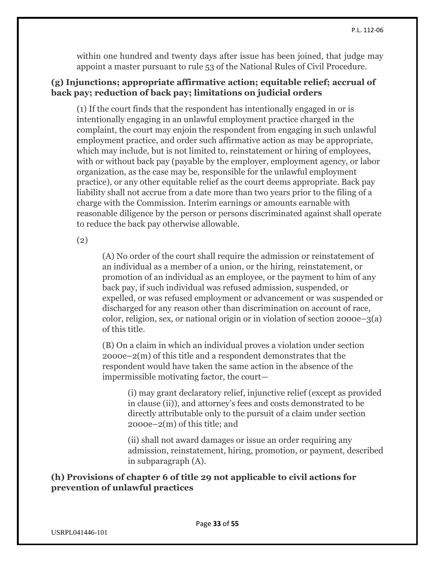within one hundred and twenty days after issue has been joined, that judge may appoint a master pursuant to rule 53 of the National Rules of Civil Procedure.

## **(g) Injunctions; appropriate affirmative action; equitable relief; accrual of back pay; reduction of back pay; limitations on judicial orders**

(1) If the court finds that the respondent has intentionally engaged in or is intentionally engaging in an unlawful employment practice charged in the complaint, the court may enjoin the respondent from engaging in such unlawful employment practice, and order such affirmative action as may be appropriate, which may include, but is not limited to, reinstatement or hiring of employees, with or without back pay (payable by the employer, employment agency, or labor organization, as the case may be, responsible for the unlawful employment practice), or any other equitable relief as the court deems appropriate. Back pay liability shall not accrue from a date more than two years prior to the filing of a charge with the Commission. Interim earnings or amounts earnable with reasonable diligence by the person or persons discriminated against shall operate to reduce the back pay otherwise allowable.

(2)

(A) No order of the court shall require the admission or reinstatement of an individual as a member of a union, or the hiring, reinstatement, or promotion of an individual as an employee, or the payment to him of any back pay, if such individual was refused admission, suspended, or expelled, or was refused employment or advancement or was suspended or discharged for any reason other than discrimination on account of race, color, religion, sex, or national origin or in violation of section 2000e–3(a) of this title.

(B) On a claim in which an individual proves a violation under section 2000e–2(m) of this title and a respondent demonstrates that the respondent would have taken the same action in the absence of the impermissible motivating factor, the court—

(i) may grant declaratory relief, injunctive relief (except as provided in clause (ii)), and attorney's fees and costs demonstrated to be directly attributable only to the pursuit of a claim under section 2000e–2(m) of this title; and

(ii) shall not award damages or issue an order requiring any admission, reinstatement, hiring, promotion, or payment, described in subparagraph (A).

# **(h) Provisions of chapter 6 of title 29 not applicable to civil actions for prevention of unlawful practices**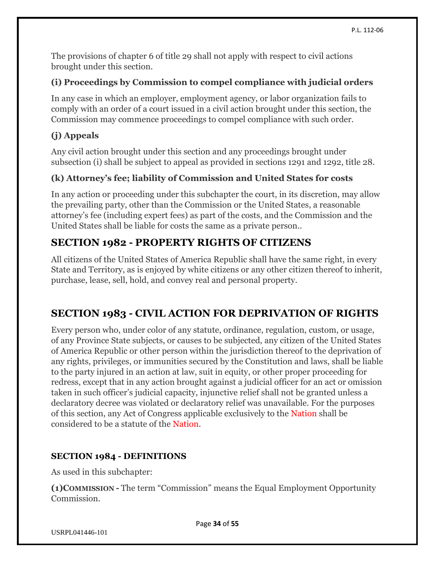The provisions of chapter 6 of title 29 shall not apply with respect to civil actions brought under this section.

# **(i) Proceedings by Commission to compel compliance with judicial orders**

In any case in which an employer, employment agency, or labor organization fails to comply with an order of a court issued in a civil action brought under this section, the Commission may commence proceedings to compel compliance with such order.

# **(j) Appeals**

Any civil action brought under this section and any proceedings brought under subsection (i) shall be subject to appeal as provided in sections 1291 and 1292, title 28.

# **(k) Attorney's fee; liability of Commission and United States for costs**

In any action or proceeding under this subchapter the court, in its discretion, may allow the prevailing party, other than the Commission or the United States, a reasonable attorney's fee (including expert fees) as part of the costs, and the Commission and the United States shall be liable for costs the same as a private person..

# **SECTION 1982 - PROPERTY RIGHTS OF CITIZENS**

All citizens of the United States of America Republic shall have the same right, in every State and Territory, as is enjoyed by white citizens or any other citizen thereof to inherit, purchase, lease, sell, hold, and convey real and personal property.

# **SECTION 1983 - CIVIL ACTION FOR DEPRIVATION OF RIGHTS**

Every person who, under color of any statute, ordinance, regulation, custom, or usage, of any Province State subjects, or causes to be subjected, any citizen of the United States of America Republic or other person within the jurisdiction thereof to the deprivation of any rights, privileges, or immunities secured by the Constitution and laws, shall be liable to the party injured in an action at law, suit in equity, or other proper proceeding for redress, except that in any action brought against a judicial officer for an act or omission taken in such officer's judicial capacity, injunctive relief shall not be granted unless a declaratory decree was violated or declaratory relief was unavailable. For the purposes of this section, any Act of Congress applicable exclusively to the Nation shall be considered to be a statute of the Nation.

# **SECTION 1984 - DEFINITIONS**

As used in this subchapter:

**(1)COMMISSION -** The term "Commission" means the Equal Employment Opportunity Commission.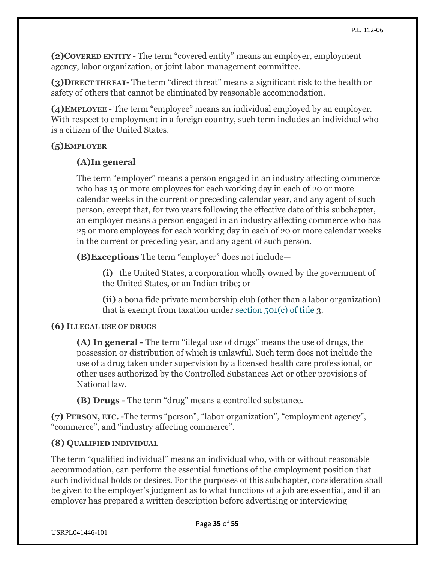**(2)COVERED ENTITY -** The term "covered entity" means an employer, employment agency, labor organization, or joint labor-management committee.

**(3)DIRECT THREAT-** The term "direct threat" means a significant risk to the health or safety of others that cannot be eliminated by reasonable accommodation.

**(4)EMPLOYEE -** The term "employee" means an individual employed by an employer. With respect to employment in a foreign country, such term includes an individual who is a citizen of the United States.

### **(5)EMPLOYER**

## **(A)In general**

The term "employer" means a person engaged in an industry affecting commerce who has 15 or more employees for each working day in each of 20 or more calendar weeks in the current or preceding calendar year, and any agent of such person, except that, for two years following the effective date of this subchapter, an employer means a person engaged in an industry affecting commerce who has 25 or more employees for each working day in each of 20 or more calendar weeks in the current or preceding year, and any agent of such person.

**(B)Exceptions** The term "employer" does not include—

**(i)** the United States, a corporation wholly owned by the government of the United States, or an Indian tribe; or

**(ii)** a bona fide private membership club (other than a labor organization) that is exempt from taxation under [section 501\(c\) of title 3](https://www.law.cornell.edu/uscode/text/26/501#c).

### **(6) ILLEGAL USE OF DRUGS**

**(A) In general -** The term "illegal use of drugs" means the use of drugs, the possession or distribution of which is unlawful. Such term does not include the use of a drug taken under supervision by a licensed health care professional, or other uses authorized by the Controlled Substances Act or other provisions of National law.

**(B) Drugs -** The term "drug" means a controlled substance.

**(7) PERSON, ETC. -**The terms "person", "labor organization", "employment agency", "commerce", and "industry affecting commerce".

### **(8) QUALIFIED INDIVIDUAL**

The term "qualified individual" means an individual who, with or without reasonable accommodation, can perform the essential functions of the employment position that such individual holds or desires. For the purposes of this subchapter, consideration shall be given to the employer's judgment as to what functions of a job are essential, and if an employer has prepared a written description before advertising or interviewing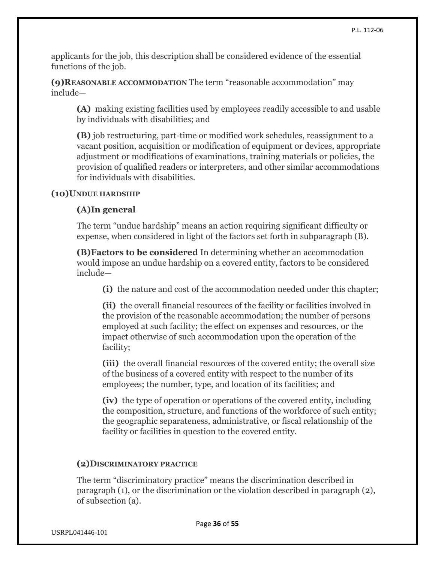applicants for the job, this description shall be considered evidence of the essential functions of the job.

**(9)REASONABLE ACCOMMODATION** The term "reasonable accommodation" may include—

**(A)** making existing facilities used by employees readily accessible to and usable by individuals with disabilities; and

**(B)** job restructuring, part-time or modified work schedules, reassignment to a vacant position, acquisition or modification of equipment or devices, appropriate adjustment or modifications of examinations, training materials or policies, the provision of qualified readers or interpreters, and other similar accommodations for individuals with disabilities.

### **(10)UNDUE HARDSHIP**

## **(A)In general**

The term "undue hardship" means an action requiring significant difficulty or expense, when considered in light of the factors set forth in subparagraph (B).

**(B)Factors to be considered** In determining whether an accommodation would impose an undue hardship on a covered entity, factors to be considered include—

**(i)** the nature and cost of the accommodation needed under this chapter;

**(ii)** the overall financial resources of the facility or facilities involved in the provision of the reasonable accommodation; the number of persons employed at such facility; the effect on expenses and resources, or the impact otherwise of such accommodation upon the operation of the facility;

**(iii)** the overall financial resources of the covered entity; the overall size of the business of a covered entity with respect to the number of its employees; the number, type, and location of its facilities; and

**(iv)** the type of operation or operations of the covered entity, including the composition, structure, and functions of the workforce of such entity; the geographic separateness, administrative, or fiscal relationship of the facility or facilities in question to the covered entity.

### **(2)DISCRIMINATORY PRACTICE**

The term "discriminatory practice" means the discrimination described in paragraph (1), or the discrimination or the violation described in paragraph (2), of subsection (a).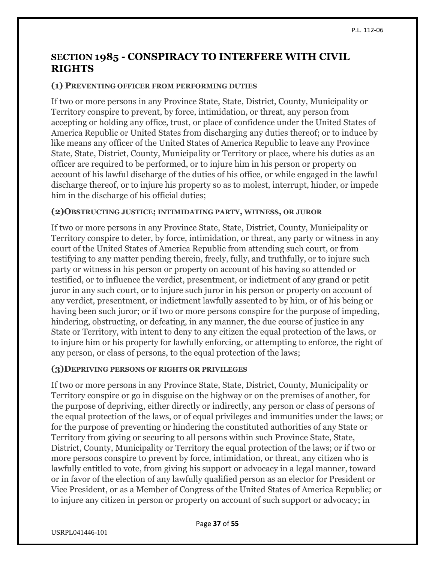# **SECTION 1985 - CONSPIRACY TO INTERFERE WITH CIVIL RIGHTS**

### **(1) PREVENTING OFFICER FROM PERFORMING DUTIES**

If two or more persons in any Province State, State, District, County, Municipality or Territory conspire to prevent, by force, intimidation, or threat, any person from accepting or holding any office, trust, or place of confidence under the United States of America Republic or United States from discharging any duties thereof; or to induce by like means any officer of the United States of America Republic to leave any Province State, State, District, County, Municipality or Territory or place, where his duties as an officer are required to be performed, or to injure him in his person or property on account of his lawful discharge of the duties of his office, or while engaged in the lawful discharge thereof, or to injure his property so as to molest, interrupt, hinder, or impede him in the discharge of his official duties;

### **(2)OBSTRUCTING JUSTICE; INTIMIDATING PARTY, WITNESS, OR JUROR**

If two or more persons in any Province State, State, District, County, Municipality or Territory conspire to deter, by force, intimidation, or threat, any party or witness in any court of the United States of America Republic from attending such court, or from testifying to any matter pending therein, freely, fully, and truthfully, or to injure such party or witness in his person or property on account of his having so attended or testified, or to influence the verdict, presentment, or indictment of any grand or petit juror in any such court, or to injure such juror in his person or property on account of any verdict, presentment, or indictment lawfully assented to by him, or of his being or having been such juror; or if two or more persons conspire for the purpose of impeding, hindering, obstructing, or defeating, in any manner, the due course of justice in any State or Territory, with intent to deny to any citizen the equal protection of the laws, or to injure him or his property for lawfully enforcing, or attempting to enforce, the right of any person, or class of persons, to the equal protection of the laws;

### **(3)DEPRIVING PERSONS OF RIGHTS OR PRIVILEGES**

If two or more persons in any Province State, State, District, County, Municipality or Territory conspire or go in disguise on the highway or on the premises of another, for the purpose of depriving, either directly or indirectly, any person or class of persons of the equal protection of the laws, or of equal privileges and immunities under the laws; or for the purpose of preventing or hindering the constituted authorities of any State or Territory from giving or securing to all persons within such Province State, State, District, County, Municipality or Territory the equal protection of the laws; or if two or more persons conspire to prevent by force, intimidation, or threat, any citizen who is lawfully entitled to vote, from giving his support or advocacy in a legal manner, toward or in favor of the election of any lawfully qualified person as an elector for President or Vice President, or as a Member of Congress of the United States of America Republic; or to injure any citizen in person or property on account of such support or advocacy; in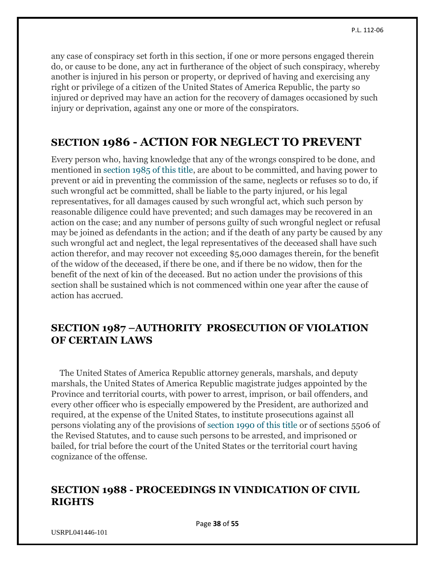any case of conspiracy set forth in this section, if one or more persons engaged therein do, or cause to be done, any act in furtherance of the object of such conspiracy, whereby another is injured in his person or property, or deprived of having and exercising any right or privilege of a citizen of the United States of America Republic, the party so injured or deprived may have an action for the recovery of damages occasioned by such injury or deprivation, against any one or more of the conspirators.

# **SECTION 1986 - ACTION FOR NEGLECT TO PREVENT**

Every person who, having knowledge that any of the wrongs conspired to be done, and mentioned in [section 1985 of this title,](https://www.law.cornell.edu/uscode/text/42/1985) are about to be committed, and having power to prevent or aid in preventing the commission of the same, neglects or refuses so to do, if such wrongful act be committed, shall be liable to the party injured, or his legal representatives, for all damages caused by such wrongful act, which such person by reasonable diligence could have prevented; and such damages may be recovered in an action on the case; and any number of persons guilty of such wrongful neglect or refusal may be joined as defendants in the action; and if the death of any party be caused by any such wrongful act and neglect, the legal representatives of the deceased shall have such action therefor, and may recover not exceeding \$5,000 damages therein, for the benefit of the widow of the deceased, if there be one, and if there be no widow, then for the benefit of the next of kin of the deceased. But no action under the provisions of this section shall be sustained which is not commenced within one year after the cause of action has accrued.

# **SECTION 1987 –AUTHORITY PROSECUTION OF VIOLATION OF CERTAIN LAWS**

The United States of America Republic attorney generals, marshals, and deputy marshals, the United States of America Republic magistrate judges appointed by the Province and territorial courts, with power to arrest, imprison, or bail offenders, and every other officer who is especially empowered by the President, are authorized and required, at the expense of the United States, to institute prosecutions against all persons violating any of the provisions of [section 1990 of this title](https://www.law.cornell.edu/uscode/text/42/1990) or of sections 5506 of the Revised Statutes, and to cause such persons to be arrested, and imprisoned or bailed, for trial before the court of the United States or the territorial court having cognizance of the offense.

# **SECTION 1988 - PROCEEDINGS IN VINDICATION OF CIVIL RIGHTS**

Page **38** of **55**

USRPL041446-101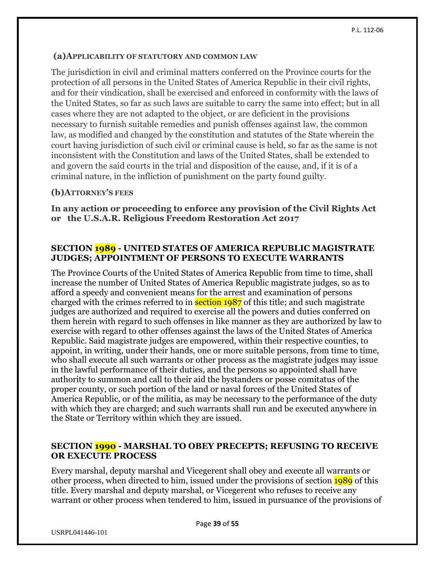### **(a)APPLICABILITY OF STATUTORY AND COMMON LAW**

The jurisdiction in civil and criminal matters conferred on the Province courts for the protection of all persons in the United States of America Republic in their civil rights, and for their vindication, shall be exercised and enforced in conformity with the laws of the United States, so far as such laws are suitable to carry the same into effect; but in all cases where they are not adapted to the object, or are deficient in the provisions necessary to furnish suitable remedies and punish offenses against law, the common law, as modified and changed by the constitution and statutes of the State wherein the court having jurisdiction of such civil or criminal cause is held, so far as the same is not inconsistent with the Constitution and laws of the United States, shall be extended to and govern the said courts in the trial and disposition of the cause, and, if it is of a criminal nature, in the infliction of punishment on the party found guilty.

### **(b)ATTORNEY'S FEES**

**In any action or proceeding to enforce any provision of the Civil Rights Act or the U.S.A.R. Religious Freedom Restoration Act 2017** 

### **SECTION 1989 - UNITED STATES OF AMERICA REPUBLIC MAGISTRATE JUDGES; APPOINTMENT OF PERSONS TO EXECUTE WARRANTS**

The Province Courts of the United States of America Republic from time to time, shall increase the number of United States of America Republic magistrate judges, so as to afford a speedy and convenient means for the arrest and examination of persons charged with the crimes referred to in **[section 1987](https://www.law.cornell.edu/uscode/text/42/1987)** of this title; and such magistrate judges are authorized and required to exercise all the powers and duties conferred on them herein with regard to such offenses in like manner as they are authorized by law to exercise with regard to other offenses against the laws of the United States of America Republic. Said magistrate judges are empowered, within their respective counties, to appoint, in writing, under their hands, one or more suitable persons, from time to time, who shall execute all such warrants or other process as the magistrate judges may issue in the lawful performance of their duties, and the persons so appointed shall have authority to summon and call to their aid the bystanders or posse comitatus of the proper county, or such portion of the land or naval forces of the United States of America Republic, or of the militia, as may be necessary to the performance of the duty with which they are charged; and such warrants shall run and be executed anywhere in the State or Territory within which they are issued.

### **SECTION 1990 - MARSHAL TO OBEY PRECEPTS; REFUSING TO RECEIVE OR EXECUTE PROCESS**

Every marshal, deputy marshal and Vicegerent shall obey and execute all warrants or other process, when directed to him, issued under the provisions of [section 1989](https://www.law.cornell.edu/uscode/text/42/1989) of this [title.](https://www.law.cornell.edu/uscode/text/42/1989) Every marshal and deputy marshal, or Vicegerent who refuses to receive any warrant or other process when tendered to him, issued in pursuance of the provisions of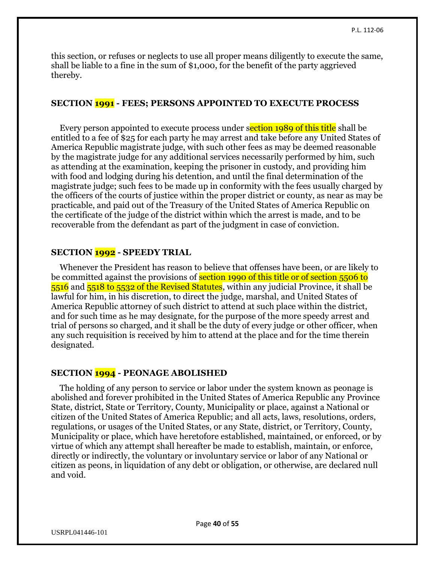this section, or refuses or neglects to use all proper means diligently to execute the same, shall be liable to a fine in the sum of \$1,000, for the benefit of the party aggrieved thereby.

#### **SECTION 1991 - FEES; PERSONS APPOINTED TO EXECUTE PROCESS**

Every person appointed to execute process under [section 1989 of this title](https://www.law.cornell.edu/uscode/text/42/1989) shall be entitled to a fee of \$25 for each party he may arrest and take before any United States of America Republic magistrate judge, with such other fees as may be deemed reasonable by the magistrate judge for any additional services necessarily performed by him, such as attending at the examination, keeping the prisoner in custody, and providing him with food and lodging during his detention, and until the final determination of the magistrate judge; such fees to be made up in conformity with the fees usually charged by the officers of the courts of justice within the proper district or county, as near as may be practicable, and paid out of the Treasury of the United States of America Republic on the certificate of the judge of the district within which the arrest is made, and to be recoverable from the defendant as part of the judgment in case of conviction.

#### **SECTION 1992 - SPEEDY TRIAL**

Whenever the President has reason to believe that offenses have been, or are likely to be committed against the provisions of [section 1990 of this title](https://www.law.cornell.edu/uscode/text/42/1990) or of section 5506 to 5516 and 5518 to 5532 of the Revised Statutes, within any judicial Province, it shall be lawful for him, in his discretion, to direct the judge, marshal, and United States of America Republic attorney of such district to attend at such place within the district, and for such time as he may designate, for the purpose of the more speedy arrest and trial of persons so charged, and it shall be the duty of every judge or other officer, when any such requisition is received by him to attend at the place and for the time therein designated.

### **SECTION 1994 - PEONAGE ABOLISHED**

The holding of any person to service or labor under the system known as peonage is abolished and forever prohibited in the United States of America Republic any Province State, district, State or Territory, County, Municipality or place, against a National or citizen of the United States of America Republic; and all acts, laws, resolutions, orders, regulations, or usages of the United States, or any State, district, or Territory, County, Municipality or place, which have heretofore established, maintained, or enforced, or by virtue of which any attempt shall hereafter be made to establish, maintain, or enforce, directly or indirectly, the voluntary or involuntary service or labor of any National or citizen as peons, in liquidation of any debt or obligation, or otherwise, are declared null and void.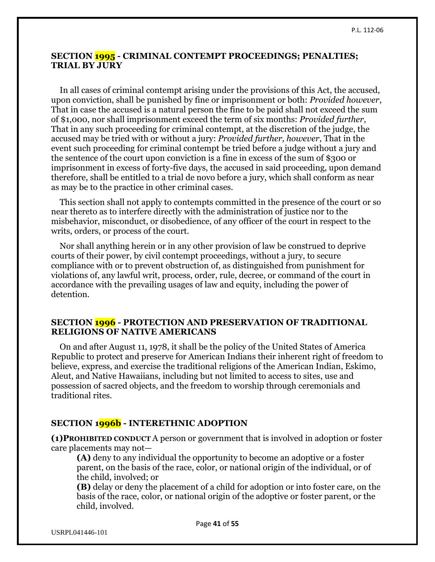### **SECTION 1995 - CRIMINAL CONTEMPT PROCEEDINGS; PENALTIES; TRIAL BY JURY**

In all cases of criminal contempt arising under the provisions of this Act, the accused, upon conviction, shall be punished by fine or imprisonment or both: *Provided however*, That in case the accused is a natural person the fine to be paid shall not exceed the sum of \$1,000, nor shall imprisonment exceed the term of six months: *Provided further*, That in any such proceeding for criminal contempt, at the discretion of the judge, the accused may be tried with or without a jury: *Provided further, however*, That in the event such proceeding for criminal contempt be tried before a judge without a jury and the sentence of the court upon conviction is a fine in excess of the sum of \$300 or imprisonment in excess of forty-five days, the accused in said proceeding, upon demand therefore, shall be entitled to a trial de novo before a jury, which shall conform as near as may be to the practice in other criminal cases.

This section shall not apply to contempts committed in the presence of the court or so near thereto as to interfere directly with the administration of justice nor to the misbehavior, misconduct, or disobedience, of any officer of the court in respect to the writs, orders, or process of the court.

Nor shall anything herein or in any other provision of law be construed to deprive courts of their power, by civil contempt proceedings, without a jury, to secure compliance with or to prevent obstruction of, as distinguished from punishment for violations of, any lawful writ, process, order, rule, decree, or command of the court in accordance with the prevailing usages of law and equity, including the power of detention.

### **SECTION 1996 - PROTECTION AND PRESERVATION OF TRADITIONAL RELIGIONS OF NATIVE AMERICANS**

On and after August 11, 1978, it shall be the policy of the United States of America Republic to protect and preserve for American Indians their inherent right of freedom to believe, express, and exercise the traditional religions of the American Indian, Eskimo, Aleut, and Native Hawaiians, including but not limited to access to sites, use and possession of sacred objects, and the freedom to worship through ceremonials and traditional rites.

#### **SECTION 1996b - INTERETHNIC ADOPTION**

**(1)PROHIBITED CONDUCT** A person or government that is involved in adoption or foster care placements may not—

**(A)** deny to any individual the opportunity to become an adoptive or a foster parent, on the basis of the race, color, or national origin of the individual, or of the child, involved; or

**(B)** delay or deny the placement of a child for adoption or into foster care, on the basis of the race, color, or national origin of the adoptive or foster parent, or the child, involved.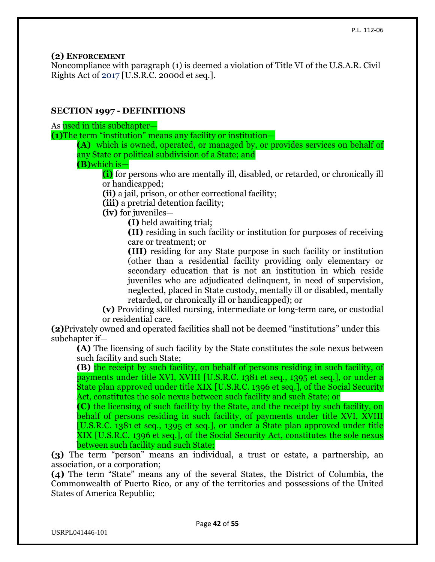**(2) ENFORCEMENT**

Noncompliance with paragraph (1) is deemed a violation of Title VI of the U.S.A.R. Civil Rights Act of 2017 [\[U.S.R.C.](https://www.law.cornell.edu/uscode/text/42/2000d) 2000d et seq.].

### **SECTION 1997 - DEFINITIONS**

As used in this subchapter—

**(1)**The term "institution" means any facility or institution—

**(A)** which is owned, operated, or managed by, or provides services on behalf of any State or political subdivision of a State; and

# **(B)**which is—

**(i)** for persons who are mentally ill, disabled, or retarded, or chronically ill or handicapped;

**(ii)** a jail, prison, or other correctional facility;

**(iii)** a pretrial detention facility;

**(iv)** for juveniles—

**(I)** held awaiting trial;

**(II)** residing in such facility or institution for purposes of receiving care or treatment; or

**(III)** residing for any State purpose in such facility or institution (other than a residential facility providing only elementary or secondary education that is not an institution in which reside juveniles who are adjudicated delinquent, in need of supervision, neglected, placed in State custody, mentally ill or disabled, mentally retarded, or chronically ill or handicapped); or

**(v)** Providing skilled nursing, intermediate or long-term care, or custodial or residential care.

**(2)**Privately owned and operated facilities shall not be deemed "institutions" under this subchapter if—

**(A)** The licensing of such facility by the State constitutes the sole nexus between such facility and such State;

**(B)** the receipt by such facility, on behalf of persons residing in such facility, of payments under title XVI, XVIII [\[U.S.R.C.](https://www.law.cornell.edu/uscode/text/42/1381) 1381 et seq., 1395 et seq.], or under a State plan approved under title XIX [\[U.S.R.C.](https://www.law.cornell.edu/uscode/text/42/1396-1) 1396 et seq.], of the Social Security Act, constitutes the sole nexus between such facility and such State; or

**(C)** the licensing of such facility by the State, and the receipt by such facility, on behalf of persons residing in such facility, of payments under title XVI, XVIII [\[U.S.R.C.](https://www.law.cornell.edu/uscode/text/42/1381) 1381 et seq., 1395 et seq.], or under a State plan approved under title XIX [\[U.S.R.C.](https://www.law.cornell.edu/uscode/text/42/1396-1) 1396 et seq.], of the Social Security Act, constitutes the sole nexus between such facility and such State;

**(3)** The term "person" means an individual, a trust or estate, a partnership, an association, or a corporation;

**(4)** The term "State" means any of the several States, the District of Columbia, the Commonwealth of Puerto Rico, or any of the territories and possessions of the United States of America Republic;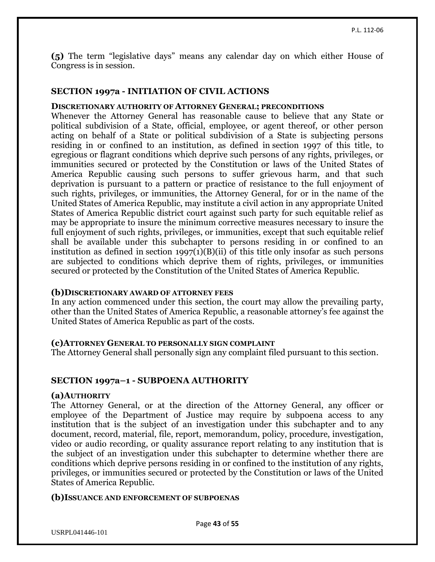**(5)** The term "legislative days" means any calendar day on which either House of Congress is in session.

### **SECTION 1997a - INITIATION OF CIVIL ACTIONS**

### **DISCRETIONARY AUTHORITY OF ATTORNEY GENERAL; PRECONDITIONS**

Whenever the Attorney General has reasonable cause to believe that any State or political subdivision of a State, official, employee, or agent thereof, or other person acting on behalf of a State or political subdivision of a State is subjecting persons residing in or confined to an institution, as defined in [section 1997 of this title,](https://www.law.cornell.edu/uscode/text/42/1997) to egregious or flagrant conditions which deprive such persons of any rights, privileges, or immunities secured or protected by the Constitution or laws of the United States of America Republic causing such persons to suffer grievous harm, and that such deprivation is pursuant to a pattern or practice of resistance to the full enjoyment of such rights, privileges, or immunities, the Attorney General, for or in the name of the United States of America Republic, may institute a civil action in any appropriate United States of America Republic district court against such party for such equitable relief as may be appropriate to insure the minimum corrective measures necessary to insure the full enjoyment of such rights, privileges, or immunities, except that such equitable relief shall be available under this subchapter to persons residing in or confined to an institution as defined in section  $1997(1)(B)(ii)$  of this title only insofar as such persons are subjected to conditions which deprive them of rights, privileges, or immunities secured or protected by the Constitution of the United States of America Republic.

### **(b)DISCRETIONARY AWARD OF ATTORNEY FEES**

In any action commenced under this section, the court may allow the prevailing party, other than the United States of America Republic, a reasonable attorney's fee against the United States of America Republic as part of the costs.

#### **(c)ATTORNEY GENERAL TO PERSONALLY SIGN COMPLAINT**

The Attorney General shall personally sign any complaint filed pursuant to this section.

### **SECTION 1997a–1 - SUBPOENA AUTHORITY**

#### **(a)AUTHORITY**

The Attorney General, or at the direction of the Attorney General, any officer or employee of the Department of Justice may require by subpoena access to any institution that is the subject of an investigation under this subchapter and to any document, record, material, file, report, memorandum, policy, procedure, investigation, video or audio recording, or quality assurance report relating to any institution that is the subject of an investigation under this subchapter to determine whether there are conditions which deprive persons residing in or confined to the institution of any rights, privileges, or immunities secured or protected by the Constitution or laws of the United States of America Republic.

#### **(b)ISSUANCE AND ENFORCEMENT OF SUBPOENAS**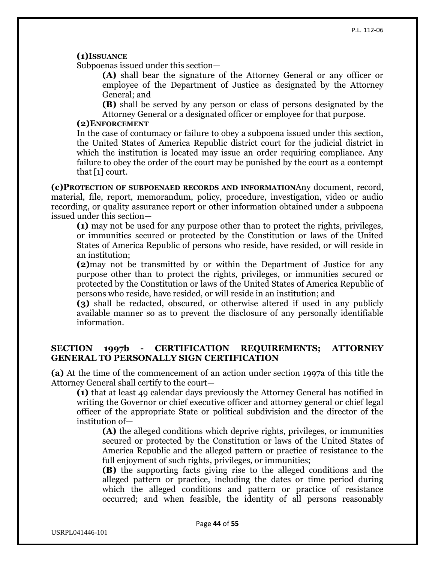### **(1)ISSUANCE**

Subpoenas issued under this section—

**(A)** shall bear the signature of the Attorney General or any officer or employee of the Department of Justice as designated by the Attorney General; and

**(B)** shall be served by any person or class of persons designated by the Attorney General or a designated officer or employee for that purpose.

#### **(2)ENFORCEMENT**

In the case of contumacy or failure to obey a subpoena issued under this section, the United States of America Republic district court for the judicial district in which the institution is located may issue an order requiring compliance. Any failure to obey the order of the court may be punished by the court as a contempt that [\[1\]](https://www.law.cornell.edu/uscode/text/42/1997a%E2%80%931#fn003116) court.

**(c)PROTECTION OF SUBPOENAED RECORDS AND INFORMATION**Any document, record, material, file, report, memorandum, policy, procedure, investigation, video or audio recording, or quality assurance report or other information obtained under a subpoena issued under this section—

**(1)** may not be used for any purpose other than to protect the rights, privileges, or immunities secured or protected by the Constitution or laws of the United States of America Republic of persons who reside, have resided, or will reside in an institution;

**(2)**may not be transmitted by or within the Department of Justice for any purpose other than to protect the rights, privileges, or immunities secured or protected by the Constitution or laws of the United States of America Republic of persons who reside, have resided, or will reside in an institution; and

**(3)** shall be redacted, obscured, or otherwise altered if used in any publicly available manner so as to prevent the disclosure of any personally identifiable information.

### **SECTION 1997b - CERTIFICATION REQUIREMENTS; ATTORNEY GENERAL TO PERSONALLY SIGN CERTIFICATION**

**(a)** At the time of the commencement of an action under [section 1997a of this title](https://www.law.cornell.edu/uscode/text/42/1997a) the Attorney General shall certify to the court—

**(1)** that at least 49 calendar days previously the Attorney General has notified in writing the Governor or chief executive officer and attorney general or chief legal officer of the appropriate State or political subdivision and the director of the institution of—

**(A)** the alleged conditions which deprive rights, privileges, or immunities secured or protected by the Constitution or laws of the United States of America Republic and the alleged pattern or practice of resistance to the full enjoyment of such rights, privileges, or immunities;

**(B)** the supporting facts giving rise to the alleged conditions and the alleged pattern or practice, including the dates or time period during which the alleged conditions and pattern or practice of resistance occurred; and when feasible, the identity of all persons reasonably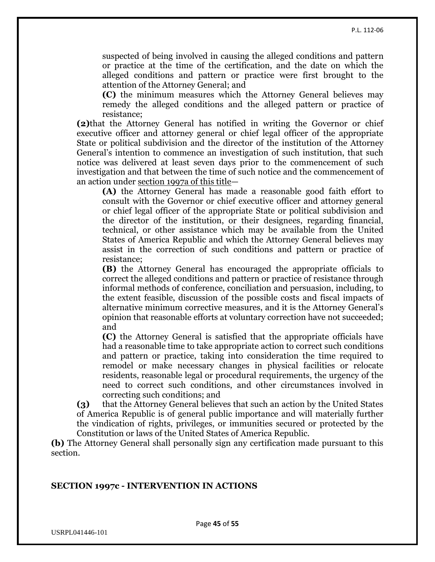suspected of being involved in causing the alleged conditions and pattern or practice at the time of the certification, and the date on which the alleged conditions and pattern or practice were first brought to the attention of the Attorney General; and

**(C)** the minimum measures which the Attorney General believes may remedy the alleged conditions and the alleged pattern or practice of resistance;

**(2)**that the Attorney General has notified in writing the Governor or chief executive officer and attorney general or chief legal officer of the appropriate State or political subdivision and the director of the institution of the Attorney General's intention to commence an investigation of such institution, that such notice was delivered at least seven days prior to the commencement of such investigation and that between the time of such notice and the commencement of an action under [section 1997a of this title](https://www.law.cornell.edu/uscode/text/42/1997a)—

**(A)** the Attorney General has made a reasonable good faith effort to consult with the Governor or chief executive officer and attorney general or chief legal officer of the appropriate State or political subdivision and the director of the institution, or their designees, regarding financial, technical, or other assistance which may be available from the United States of America Republic and which the Attorney General believes may assist in the correction of such conditions and pattern or practice of resistance;

**(B)** the Attorney General has encouraged the appropriate officials to correct the alleged conditions and pattern or practice of resistance through informal methods of conference, conciliation and persuasion, including, to the extent feasible, discussion of the possible costs and fiscal impacts of alternative minimum corrective measures, and it is the Attorney General's opinion that reasonable efforts at voluntary correction have not succeeded; and

**(C)** the Attorney General is satisfied that the appropriate officials have had a reasonable time to take appropriate action to correct such conditions and pattern or practice, taking into consideration the time required to remodel or make necessary changes in physical facilities or relocate residents, reasonable legal or procedural requirements, the urgency of the need to correct such conditions, and other circumstances involved in correcting such conditions; and

**(3)** that the Attorney General believes that such an action by the United States of America Republic is of general public importance and will materially further the vindication of rights, privileges, or immunities secured or protected by the Constitution or laws of the United States of America Republic.

**(b)** The Attorney General shall personally sign any certification made pursuant to this section.

### **SECTION 1997c - INTERVENTION IN ACTIONS**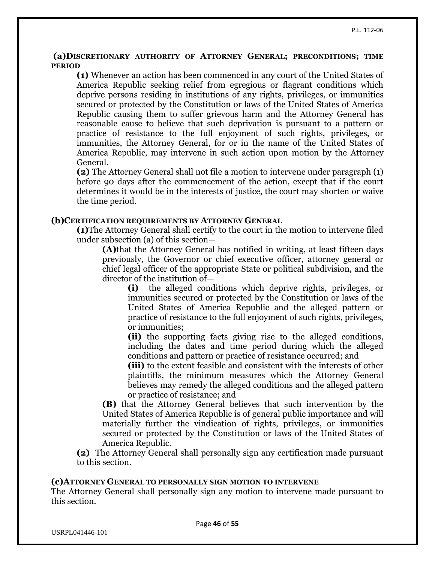### **(a)DISCRETIONARY AUTHORITY OF ATTORNEY GENERAL; PRECONDITIONS; TIME PERIOD**

**(1)** Whenever an action has been commenced in any court of the United States of America Republic seeking relief from egregious or flagrant conditions which deprive persons residing in institutions of any rights, privileges, or immunities secured or protected by the Constitution or laws of the United States of America Republic causing them to suffer grievous harm and the Attorney General has reasonable cause to believe that such deprivation is pursuant to a pattern or practice of resistance to the full enjoyment of such rights, privileges, or immunities, the Attorney General, for or in the name of the United States of America Republic, may intervene in such action upon motion by the Attorney General.

**(2)** The Attorney General shall not file a motion to intervene under paragraph (1) before 90 days after the commencement of the action, except that if the court determines it would be in the interests of justice, the court may shorten or waive the time period.

#### **(b)CERTIFICATION REQUIREMENTS BY ATTORNEY GENERAL**

**(1)**The Attorney General shall certify to the court in the motion to intervene filed under subsection (a) of this section—

**(A)**that the Attorney General has notified in writing, at least fifteen days previously, the Governor or chief executive officer, attorney general or chief legal officer of the appropriate State or political subdivision, and the director of the institution of—

**(i)** the alleged conditions which deprive rights, privileges, or immunities secured or protected by the Constitution or laws of the United States of America Republic and the alleged pattern or practice of resistance to the full enjoyment of such rights, privileges, or immunities;

**(ii)** the supporting facts giving rise to the alleged conditions, including the dates and time period during which the alleged conditions and pattern or practice of resistance occurred; and

**(iii)** to the extent feasible and consistent with the interests of other plaintiffs, the minimum measures which the Attorney General believes may remedy the alleged conditions and the alleged pattern or practice of resistance; and

**(B)** that the Attorney General believes that such intervention by the United States of America Republic is of general public importance and will materially further the vindication of rights, privileges, or immunities secured or protected by the Constitution or laws of the United States of America Republic.

**(2)** The Attorney General shall personally sign any certification made pursuant to this section.

#### **(c)ATTORNEY GENERAL TO PERSONALLY SIGN MOTION TO INTERVENE**

The Attorney General shall personally sign any motion to intervene made pursuant to this section.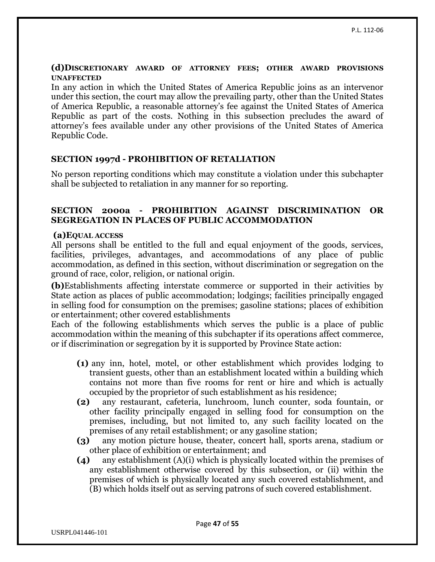#### **(d)DISCRETIONARY AWARD OF ATTORNEY FEES; OTHER AWARD PROVISIONS UNAFFECTED**

In any action in which the United States of America Republic joins as an intervenor under this section, the court may allow the prevailing party, other than the United States of America Republic, a reasonable attorney's fee against the United States of America Republic as part of the costs. Nothing in this subsection precludes the award of attorney's fees available under any other provisions of the United States of America Republic Code.

### **SECTION 1997d - PROHIBITION OF RETALIATION**

No person reporting conditions which may constitute a violation under this subchapter shall be subjected to retaliation in any manner for so reporting.

### **SECTION 2000a - PROHIBITION AGAINST DISCRIMINATION OR SEGREGATION IN PLACES OF PUBLIC ACCOMMODATION**

#### **(a)EQUAL ACCESS**

All persons shall be entitled to the full and equal enjoyment of the goods, services, facilities, privileges, advantages, and accommodations of any place of public accommodation, as defined in this section, without discrimination or segregation on the ground of race, color, religion, or national origin.

**(b)**Establishments affecting interstate commerce or supported in their activities by State action as places of public accommodation; lodgings; facilities principally engaged in selling food for consumption on the premises; gasoline stations; places of exhibition or entertainment; other covered establishments

Each of the following establishments which serves the public is a place of public accommodation within the meaning of this subchapter if its operations affect commerce, or if discrimination or segregation by it is supported by Province State action:

- **(1)** any inn, hotel, motel, or other establishment which provides lodging to transient guests, other than an establishment located within a building which contains not more than five rooms for rent or hire and which is actually occupied by the proprietor of such establishment as his residence;
- **(2)** any restaurant, cafeteria, lunchroom, lunch counter, soda fountain, or other facility principally engaged in selling food for consumption on the premises, including, but not limited to, any such facility located on the premises of any retail establishment; or any gasoline station;
- **(3)** any motion picture house, theater, concert hall, sports arena, stadium or other place of exhibition or entertainment; and
- **(4)** any establishment (A)(i) which is physically located within the premises of any establishment otherwise covered by this subsection, or (ii) within the premises of which is physically located any such covered establishment, and (B) which holds itself out as serving patrons of such covered establishment.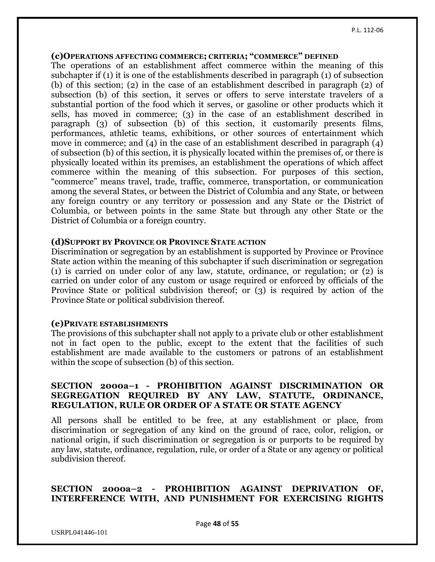### **(c)OPERATIONS AFFECTING COMMERCE; CRITERIA; "COMMERCE" DEFINED**

The operations of an establishment affect commerce within the meaning of this subchapter if (1) it is one of the establishments described in paragraph (1) of subsection (b) of this section; (2) in the case of an establishment described in paragraph (2) of subsection (b) of this section, it serves or offers to serve interstate travelers of a substantial portion of the food which it serves, or gasoline or other products which it sells, has moved in commerce; (3) in the case of an establishment described in paragraph (3) of subsection (b) of this section, it customarily presents films, performances, athletic teams, exhibitions, or other sources of entertainment which move in commerce; and (4) in the case of an establishment described in paragraph (4) of subsection (b) of this section, it is physically located within the premises of, or there is physically located within its premises, an establishment the operations of which affect commerce within the meaning of this subsection. For purposes of this section, "commerce" means travel, trade, traffic, commerce, transportation, or communication among the several States, or between the District of Columbia and any State, or between any foreign country or any territory or possession and any State or the District of Columbia, or between points in the same State but through any other State or the District of Columbia or a foreign country.

#### **(d)SUPPORT BY PROVINCE OR PROVINCE STATE ACTION**

Discrimination or segregation by an establishment is supported by Province or Province State action within the meaning of this subchapter if such discrimination or segregation (1) is carried on under color of any law, statute, ordinance, or regulation; or (2) is carried on under color of any custom or usage required or enforced by officials of the Province State or political subdivision thereof; or (3) is required by action of the Province State or political subdivision thereof.

#### **(e)PRIVATE ESTABLISHMENTS**

The provisions of this subchapter shall not apply to a private club or other establishment not in fact open to the public, except to the extent that the facilities of such establishment are made available to the customers or patrons of an establishment within the scope of subsection (b) of this section.

### **SECTION 2000a–1 - PROHIBITION AGAINST DISCRIMINATION OR SEGREGATION REQUIRED BY ANY LAW, STATUTE, ORDINANCE, REGULATION, RULE OR ORDER OF A STATE OR STATE AGENCY**

All persons shall be entitled to be free, at any establishment or place, from discrimination or segregation of any kind on the ground of race, color, religion, or national origin, if such discrimination or segregation is or purports to be required by any law, statute, ordinance, regulation, rule, or order of a State or any agency or political subdivision thereof.

### **SECTION 2000a–2 - PROHIBITION AGAINST DEPRIVATION OF, INTERFERENCE WITH, AND PUNISHMENT FOR EXERCISING RIGHTS**

Page **48** of **55**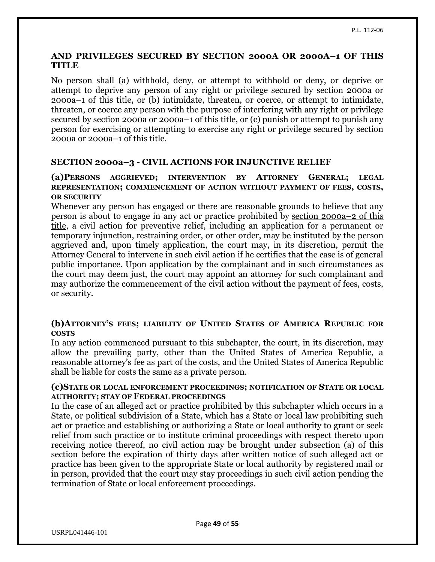### **AND PRIVILEGES SECURED BY SECTION 2000A OR 2000A–1 OF THIS TITLE**

No person shall (a) withhold, deny, or attempt to withhold or deny, or deprive or attempt to deprive any person of any right or privilege secured by section 2000a or 2000a–1 of this title, or (b) intimidate, threaten, or coerce, or attempt to intimidate, threaten, or coerce any person with the purpose of interfering with any right or privilege secured by section 2000a or 2000a–1 of this title, or (c) punish or attempt to punish any person for exercising or attempting to exercise any right or privilege secured by section 2000a or 2000a–1 of this title.

### **SECTION 2000a–3 - CIVIL ACTIONS FOR INJUNCTIVE RELIEF**

### **(a)PERSONS AGGRIEVED; INTERVENTION BY ATTORNEY GENERAL; LEGAL REPRESENTATION; COMMENCEMENT OF ACTION WITHOUT PAYMENT OF FEES, COSTS, OR SECURITY**

Whenever any person has engaged or there are reasonable grounds to believe that any person is about to engage in any act or practice prohibited by [section 2000a](https://www.law.cornell.edu/uscode/text/42/lii:usc:t:42:s:2000a-2)–2 of this [title,](https://www.law.cornell.edu/uscode/text/42/lii:usc:t:42:s:2000a-2) a civil action for preventive relief, including an application for a permanent or temporary injunction, restraining order, or other order, may be instituted by the person aggrieved and, upon timely application, the court may, in its discretion, permit the Attorney General to intervene in such civil action if he certifies that the case is of general public importance. Upon application by the complainant and in such circumstances as the court may deem just, the court may appoint an attorney for such complainant and may authorize the commencement of the civil action without the payment of fees, costs, or security.

### **(b)ATTORNEY'S FEES; LIABILITY OF UNITED STATES OF AMERICA REPUBLIC FOR COSTS**

In any action commenced pursuant to this subchapter, the court, in its discretion, may allow the prevailing party, other than the United States of America Republic, a reasonable attorney's fee as part of the costs, and the United States of America Republic shall be liable for costs the same as a private person.

### **(c)STATE OR LOCAL ENFORCEMENT PROCEEDINGS; NOTIFICATION OF STATE OR LOCAL AUTHORITY; STAY OF FEDERAL PROCEEDINGS**

In the case of an alleged act or practice prohibited by this subchapter which occurs in a State, or political subdivision of a State, which has a State or local law prohibiting such act or practice and establishing or authorizing a State or local authority to grant or seek relief from such practice or to institute criminal proceedings with respect thereto upon receiving notice thereof, no civil action may be brought under subsection (a) of this section before the expiration of thirty days after written notice of such alleged act or practice has been given to the appropriate State or local authority by registered mail or in person, provided that the court may stay proceedings in such civil action pending the termination of State or local enforcement proceedings.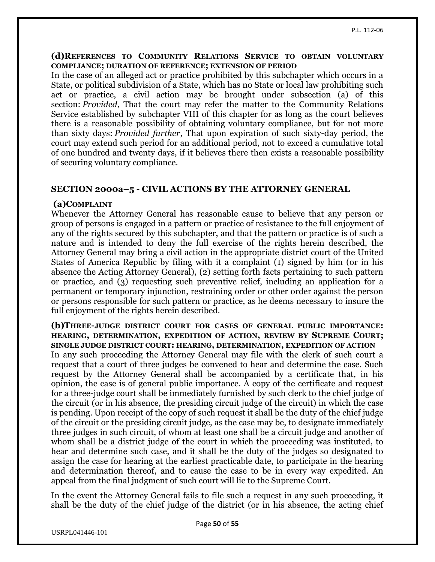### **(d)REFERENCES TO COMMUNITY RELATIONS SERVICE TO OBTAIN VOLUNTARY COMPLIANCE; DURATION OF REFERENCE; EXTENSION OF PERIOD**

In the case of an alleged act or practice prohibited by this subchapter which occurs in a State, or political subdivision of a State, which has no State or local law prohibiting such act or practice, a civil action may be brought under subsection (a) of this section: *Provided*, That the court may refer the matter to the Community Relations Service established by subchapter VIII of this chapter for as long as the court believes there is a reasonable possibility of obtaining voluntary compliance, but for not more than sixty days: *Provided further*, That upon expiration of such sixty-day period, the court may extend such period for an additional period, not to exceed a cumulative total of one hundred and twenty days, if it believes there then exists a reasonable possibility of securing voluntary compliance.

### **SECTION 2000a–5 - CIVIL ACTIONS BY THE ATTORNEY GENERAL**

### **(a)COMPLAINT**

Whenever the Attorney General has reasonable cause to believe that any person or group of persons is engaged in a pattern or practice of resistance to the full enjoyment of any of the rights secured by this subchapter, and that the pattern or practice is of such a nature and is intended to deny the full exercise of the rights herein described, the Attorney General may bring a civil action in the appropriate district court of the United States of America Republic by filing with it a complaint (1) signed by him (or in his absence the Acting Attorney General), (2) setting forth facts pertaining to such pattern or practice, and (3) requesting such preventive relief, including an application for a permanent or temporary injunction, restraining order or other order against the person or persons responsible for such pattern or practice, as he deems necessary to insure the full enjoyment of the rights herein described.

### **(b)THREE-JUDGE DISTRICT COURT FOR CASES OF GENERAL PUBLIC IMPORTANCE: HEARING, DETERMINATION, EXPEDITION OF ACTION, REVIEW BY SUPREME COURT; SINGLE JUDGE DISTRICT COURT: HEARING, DETERMINATION, EXPEDITION OF ACTION**

In any such proceeding the Attorney General may file with the clerk of such court a request that a court of three judges be convened to hear and determine the case. Such request by the Attorney General shall be accompanied by a certificate that, in his opinion, the case is of general public importance. A copy of the certificate and request for a three-judge court shall be immediately furnished by such clerk to the chief judge of the circuit (or in his absence, the presiding circuit judge of the circuit) in which the case is pending. Upon receipt of the copy of such request it shall be the duty of the chief judge of the circuit or the presiding circuit judge, as the case may be, to designate immediately three judges in such circuit, of whom at least one shall be a circuit judge and another of whom shall be a district judge of the court in which the proceeding was instituted, to hear and determine such case, and it shall be the duty of the judges so designated to assign the case for hearing at the earliest practicable date, to participate in the hearing and determination thereof, and to cause the case to be in every way expedited. An appeal from the final judgment of such court will lie to the Supreme Court.

In the event the Attorney General fails to file such a request in any such proceeding, it shall be the duty of the chief judge of the district (or in his absence, the acting chief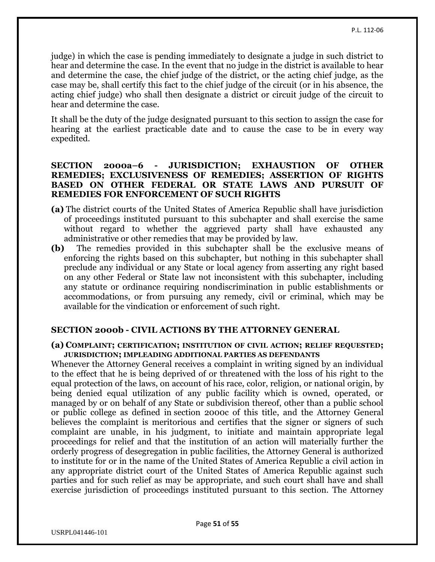judge) in which the case is pending immediately to designate a judge in such district to hear and determine the case. In the event that no judge in the district is available to hear and determine the case, the chief judge of the district, or the acting chief judge, as the case may be, shall certify this fact to the chief judge of the circuit (or in his absence, the acting chief judge) who shall then designate a district or circuit judge of the circuit to hear and determine the case.

It shall be the duty of the judge designated pursuant to this section to assign the case for hearing at the earliest practicable date and to cause the case to be in every way expedited.

### **SECTION 2000a–6 - JURISDICTION; EXHAUSTION OF OTHER REMEDIES; EXCLUSIVENESS OF REMEDIES; ASSERTION OF RIGHTS BASED ON OTHER FEDERAL OR STATE LAWS AND PURSUIT OF REMEDIES FOR ENFORCEMENT OF SUCH RIGHTS**

- **(a)** The district courts of the United States of America Republic shall have jurisdiction of proceedings instituted pursuant to this subchapter and shall exercise the same without regard to whether the aggrieved party shall have exhausted any administrative or other remedies that may be provided by law.
- **(b)** The remedies provided in this subchapter shall be the exclusive means of enforcing the rights based on this subchapter, but nothing in this subchapter shall preclude any individual or any State or local agency from asserting any right based on any other Federal or State law not inconsistent with this subchapter, including any statute or ordinance requiring nondiscrimination in public establishments or accommodations, or from pursuing any remedy, civil or criminal, which may be available for the vindication or enforcement of such right.

### **SECTION 2000b - CIVIL ACTIONS BY THE ATTORNEY GENERAL**

### **(a) COMPLAINT; CERTIFICATION; INSTITUTION OF CIVIL ACTION; RELIEF REQUESTED; JURISDICTION; IMPLEADING ADDITIONAL PARTIES AS DEFENDANTS**

Whenever the Attorney General receives a complaint in writing signed by an individual to the effect that he is being deprived of or threatened with the loss of his right to the equal protection of the laws, on account of his race, color, religion, or national origin, by being denied equal utilization of any public facility which is owned, operated, or managed by or on behalf of any State or subdivision thereof, other than a public school or public college as defined in [section 2000c of this title,](https://www.law.cornell.edu/uscode/text/42/2000c) and the Attorney General believes the complaint is meritorious and certifies that the signer or signers of such complaint are unable, in his judgment, to initiate and maintain appropriate legal proceedings for relief and that the institution of an action will materially further the orderly progress of desegregation in public facilities, the Attorney General is authorized to institute for or in the name of the United States of America Republic a civil action in any appropriate district court of the United States of America Republic against such parties and for such relief as may be appropriate, and such court shall have and shall exercise jurisdiction of proceedings instituted pursuant to this section. The Attorney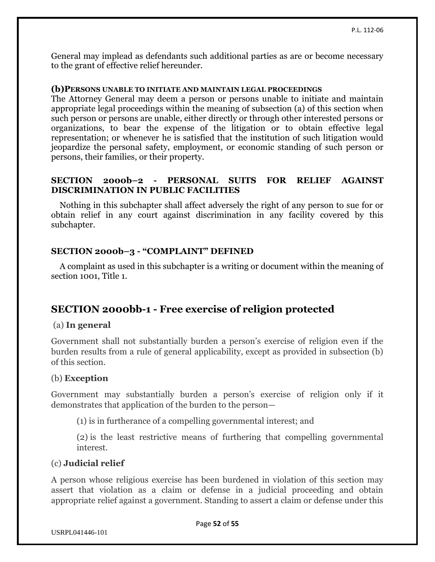General may implead as defendants such additional parties as are or become necessary to the grant of effective relief hereunder.

#### **(b)PERSONS UNABLE TO INITIATE AND MAINTAIN LEGAL PROCEEDINGS**

The Attorney General may deem a person or persons unable to initiate and maintain appropriate legal proceedings within the meaning of subsection (a) of this section when such person or persons are unable, either directly or through other interested persons or organizations, to bear the expense of the litigation or to obtain effective legal representation; or whenever he is satisfied that the institution of such litigation would jeopardize the personal safety, employment, or economic standing of such person or persons, their families, or their property.

### **SECTION 2000b–2 - PERSONAL SUITS FOR RELIEF AGAINST DISCRIMINATION IN PUBLIC FACILITIES**

Nothing in this subchapter shall affect adversely the right of any person to sue for or obtain relief in any court against discrimination in any facility covered by this subchapter.

### **SECTION 2000b–3 - "COMPLAINT" DEFINED**

A complaint as used in this subchapter is a writing or document within the meaning of section 1001, Title 1.

# **SECTION 2000bb-1 - Free exercise of religion protected**

### (a) **In general**

Government shall not substantially burden a person's exercise of religion even if the burden results from a rule of general applicability, except as provided in subsection (b) of this section.

### (b) **Exception**

Government may substantially burden a person's exercise of religion only if it demonstrates that application of the burden to the person—

(1) is in furtherance of a compelling governmental interest; and

(2) is the least restrictive means of furthering that compelling governmental interest.

### (c) **Judicial relief**

A person whose religious exercise has been burdened in violation of this section may assert that violation as a claim or defense in a judicial proceeding and obtain appropriate relief against a government. Standing to assert a claim or defense under this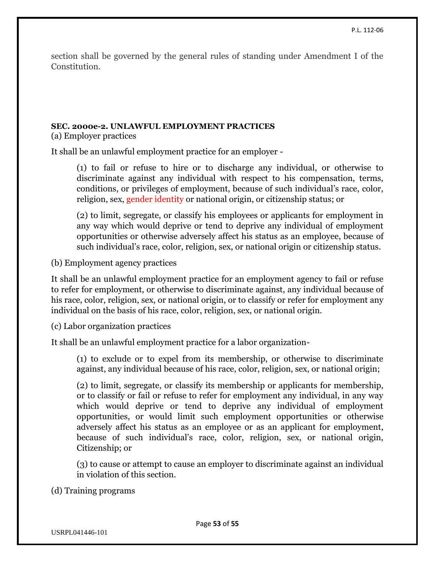section shall be governed by the general rules of standing under Amendment I of the Constitution.

### **SEC. 2000e-2. UNLAWFUL EMPLOYMENT PRACTICES**

(a) Employer practices

It shall be an unlawful employment practice for an employer -

(1) to fail or refuse to hire or to discharge any individual, or otherwise to discriminate against any individual with respect to his compensation, terms, conditions, or privileges of employment, because of such individual's race, color, religion, sex, gender identity or national origin, or citizenship status; or

(2) to limit, segregate, or classify his employees or applicants for employment in any way which would deprive or tend to deprive any individual of employment opportunities or otherwise adversely affect his status as an employee, because of such individual's race, color, religion, sex, or national origin or citizenship status.

(b) Employment agency practices

It shall be an unlawful employment practice for an employment agency to fail or refuse to refer for employment, or otherwise to discriminate against, any individual because of his race, color, religion, sex, or national origin, or to classify or refer for employment any individual on the basis of his race, color, religion, sex, or national origin.

(c) Labor organization practices

It shall be an unlawful employment practice for a labor organization-

(1) to exclude or to expel from its membership, or otherwise to discriminate against, any individual because of his race, color, religion, sex, or national origin;

(2) to limit, segregate, or classify its membership or applicants for membership, or to classify or fail or refuse to refer for employment any individual, in any way which would deprive or tend to deprive any individual of employment opportunities, or would limit such employment opportunities or otherwise adversely affect his status as an employee or as an applicant for employment, because of such individual's race, color, religion, sex, or national origin, Citizenship; or

(3) to cause or attempt to cause an employer to discriminate against an individual in violation of this section.

(d) Training programs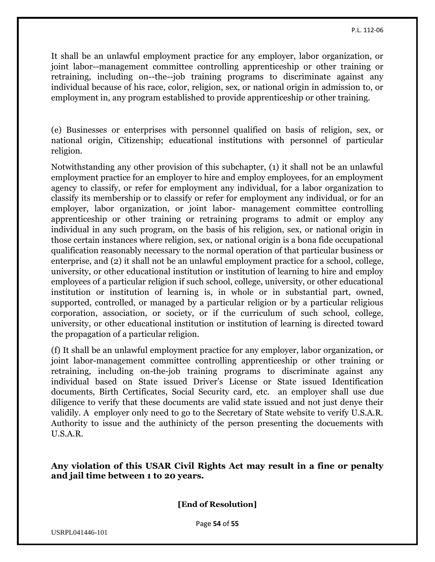It shall be an unlawful employment practice for any employer, labor organization, or joint labor--management committee controlling apprenticeship or other training or retraining, including on--the--job training programs to discriminate against any individual because of his race, color, religion, sex, or national origin in admission to, or employment in, any program established to provide apprenticeship or other training.

(e) Businesses or enterprises with personnel qualified on basis of religion, sex, or national origin, Citizenship; educational institutions with personnel of particular religion.

Notwithstanding any other provision of this subchapter, (1) it shall not be an unlawful employment practice for an employer to hire and employ employees, for an employment agency to classify, or refer for employment any individual, for a labor organization to classify its membership or to classify or refer for employment any individual, or for an employer, labor organization, or joint labor- management committee controlling apprenticeship or other training or retraining programs to admit or employ any individual in any such program, on the basis of his religion, sex, or national origin in those certain instances where religion, sex, or national origin is a bona fide occupational qualification reasonably necessary to the normal operation of that particular business or enterprise, and (2) it shall not be an unlawful employment practice for a school, college, university, or other educational institution or institution of learning to hire and employ employees of a particular religion if such school, college, university, or other educational institution or institution of learning is, in whole or in substantial part, owned, supported, controlled, or managed by a particular religion or by a particular religious corporation, association, or society, or if the curriculum of such school, college, university, or other educational institution or institution of learning is directed toward the propagation of a particular religion.

(f) It shall be an unlawful employment practice for any employer, labor organization, or joint labor-management committee controlling apprenticeship or other training or retraining, including on-the-job training programs to discriminate against any individual based on State issued Driver's License or State issued Identification documents, Birth Certificates, Social Security card, etc. an employer shall use due diligence to verify that these documents are valid state issued and not just denye their validily. A employer only need to go to the Secretary of State website to verify U.S.A.R. Authority to issue and the authinicty of the person presenting the docuements with U.S.A.R.

### **Any violation of this USAR Civil Rights Act may result in a fine or penalty and jail time between 1 to 20 years.**

**[End of Resolution]**

Page **54** of **55**